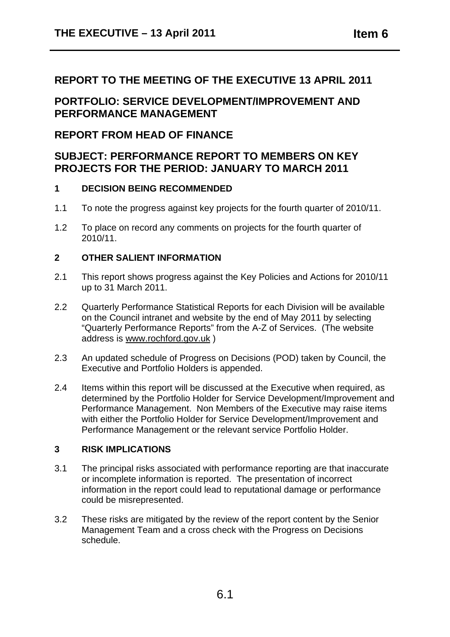#### **REPORT TO THE MEETING OF THE EXECUTIVE 13 APRIL 2011**

**PORTFOLIO: SERVICE DEVELOPMENT/IMPROVEMENT AND PERFORMANCE MANAGEMENT** 

#### **REPORT FROM HEAD OF FINANCE**

#### **SUBJECT: PERFORMANCE REPORT TO MEMBERS ON KEY PROJECTS FOR THE PERIOD: JANUARY TO MARCH 2011**

#### **1 DECISION BEING RECOMMENDED**

- 1.1 To note the progress against key projects for the fourth quarter of 2010/11.
- 1.2 To place on record any comments on projects for the fourth quarter of 2010/11.

#### **2 OTHER SALIENT INFORMATION**

- 2.1 This report shows progress against the Key Policies and Actions for 2010/11 up to 31 March 2011.
- 2.2 Quarterly Performance Statistical Reports for each Division will be available on the Council intranet and website by the end of May 2011 by selecting "Quarterly Performance Reports" from the A-Z of Services. (The website address is www.rochford.gov.uk )
- 2.3 An updated schedule of Progress on Decisions (POD) taken by Council, the Executive and Portfolio Holders is appended.
- 2.4 Items within this report will be discussed at the Executive when required, as determined by the Portfolio Holder for Service Development/Improvement and Performance Management. Non Members of the Executive may raise items with either the Portfolio Holder for Service Development/Improvement and Performance Management or the relevant service Portfolio Holder.

#### **3 RISK IMPLICATIONS**

- 3.1 The principal risks associated with performance reporting are that inaccurate or incomplete information is reported. The presentation of incorrect information in the report could lead to reputational damage or performance could be misrepresented.
- 3.2 These risks are mitigated by the review of the report content by the Senior Management Team and a cross check with the Progress on Decisions schedule.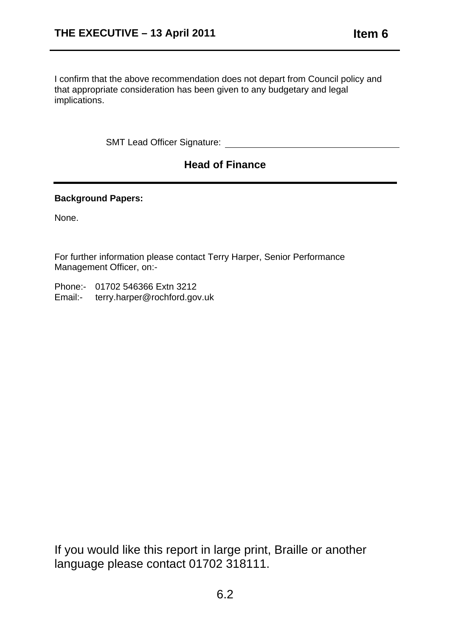I confirm that the above recommendation does not depart from Council policy and that appropriate consideration has been given to any budgetary and legal implications.

SMT Lead Officer Signature: **Example 2018** 

### **Head of Finance**

#### **Background Papers:**

None.

For further information please contact Terry Harper, Senior Performance Management Officer, on:-

Phone:- 01702 546366 Extn 3212 Email:- terry.harper@rochford.gov.uk

If you would like this report in large print, Braille or another language please contact 01702 318111.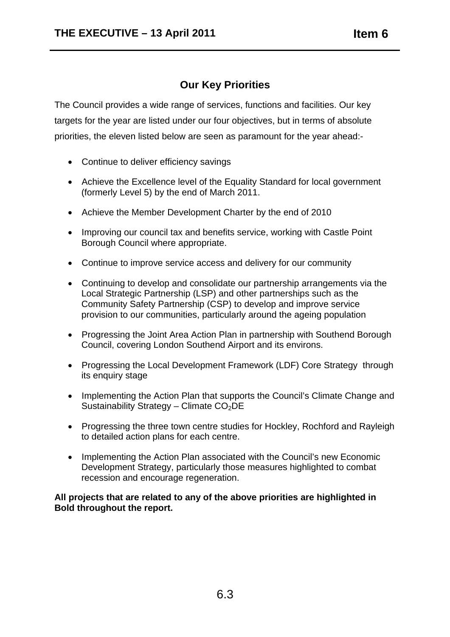### **Our Key Priorities**

The Council provides a wide range of services, functions and facilities. Our key targets for the year are listed under our four objectives, but in terms of absolute priorities, the eleven listed below are seen as paramount for the year ahead:-

- Continue to deliver efficiency savings
- Achieve the Excellence level of the Equality Standard for local government (formerly Level 5) by the end of March 2011.
- Achieve the Member Development Charter by the end of 2010
- Improving our council tax and benefits service, working with Castle Point Borough Council where appropriate.
- Continue to improve service access and delivery for our community
- Continuing to develop and consolidate our partnership arrangements via the Local Strategic Partnership (LSP) and other partnerships such as the Community Safety Partnership (CSP) to develop and improve service provision to our communities, particularly around the ageing population
- Progressing the Joint Area Action Plan in partnership with Southend Borough Council, covering London Southend Airport and its environs.
- Progressing the Local Development Framework (LDF) Core Strategy through its enquiry stage
- Implementing the Action Plan that supports the Council's Climate Change and Sustainability Strategy – Climate  $CO<sub>2</sub>DE$
- Progressing the three town centre studies for Hockley, Rochford and Rayleigh to detailed action plans for each centre.
- Implementing the Action Plan associated with the Council's new Economic Development Strategy, particularly those measures highlighted to combat recession and encourage regeneration.

**All projects that are related to any of the above priorities are highlighted in Bold throughout the report.**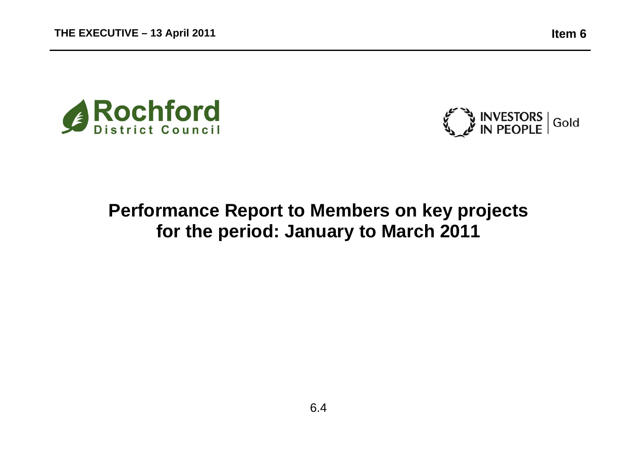



# **Performance Report to Members on key projects for the period: January to March 2011**

6.4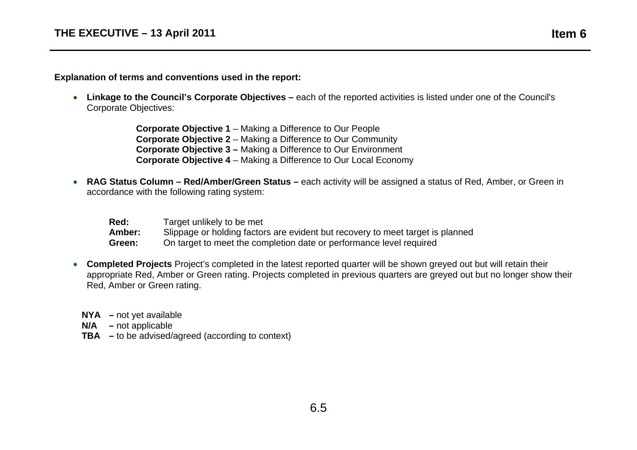**Explanation of terms and conventions used in the report:** 

• **Linkage to the Council's Corporate Objectives –** each of the reported activities is listed under one of the Council's Corporate Objectives:

> **Corporate Objective 1** – Making a Difference to Our People **Corporate Objective 2** – Making a Difference to Our Community **Corporate Objective 3 –** Making a Difference to Our Environment **Corporate Objective 4** – Making a Difference to Our Local Economy

• **RAG Status Column – Red/Amber/Green Status –** each activity will be assigned a status of Red, Amber, or Green in accordance with the following rating system:

| Red:   | Target unlikely to be met                                                      |
|--------|--------------------------------------------------------------------------------|
| Amber: | Slippage or holding factors are evident but recovery to meet target is planned |
| Green: | On target to meet the completion date or performance level required            |

- **Completed Projects** Project's completed in the latest reported quarter will be shown greyed out but will retain their appropriate Red, Amber or Green rating. Projects completed in previous quarters are greyed out but no longer show their Red, Amber or Green rating.
	- **NYA** not yet available

**N/A –** not applicable

**TBA –** to be advised/agreed (according to context)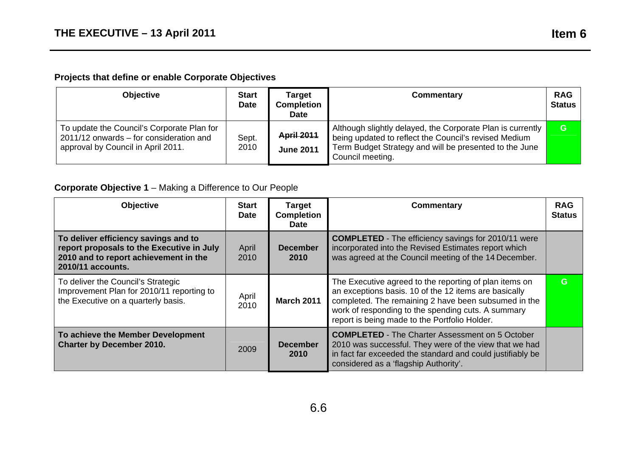# **Projects that define or enable Corporate Objectives**

| <b>Objective</b>                                                                                                            | <b>Start</b><br><b>Date</b> | <b>Target</b><br><b>Completion</b><br><b>Date</b> | Commentary                                                                                                                                                                                        | <b>RAG</b><br><b>Status</b> |
|-----------------------------------------------------------------------------------------------------------------------------|-----------------------------|---------------------------------------------------|---------------------------------------------------------------------------------------------------------------------------------------------------------------------------------------------------|-----------------------------|
| To update the Council's Corporate Plan for<br>2011/12 onwards – for consideration and<br>approval by Council in April 2011. | Sept.<br>2010               | <b>April 2011</b><br><b>June 2011</b>             | Although slightly delayed, the Corporate Plan is currently<br>being updated to reflect the Council's revised Medium<br>Term Budget Strategy and will be presented to the June<br>Council meeting. | G                           |

### **Corporate Objective 1** – Making a Difference to Our People

| <b>Objective</b>                                                                                                                                | <b>Start</b><br><b>Date</b> | <b>Target</b><br><b>Completion</b><br>Date | Commentary                                                                                                                                                                                                                                                                     | <b>RAG</b><br><b>Status</b> |
|-------------------------------------------------------------------------------------------------------------------------------------------------|-----------------------------|--------------------------------------------|--------------------------------------------------------------------------------------------------------------------------------------------------------------------------------------------------------------------------------------------------------------------------------|-----------------------------|
| To deliver efficiency savings and to<br>report proposals to the Executive in July<br>2010 and to report achievement in the<br>2010/11 accounts. | April<br>2010               | <b>December</b><br>2010                    | <b>COMPLETED</b> - The efficiency savings for 2010/11 were<br>incorporated into the Revised Estimates report which<br>was agreed at the Council meeting of the 14 December.                                                                                                    |                             |
| To deliver the Council's Strategic<br>Improvement Plan for 2010/11 reporting to<br>the Executive on a quarterly basis.                          | April<br>2010               | <b>March 2011</b>                          | The Executive agreed to the reporting of plan items on<br>an exceptions basis. 10 of the 12 items are basically<br>completed. The remaining 2 have been subsumed in the<br>work of responding to the spending cuts. A summary<br>report is being made to the Portfolio Holder. | G                           |
| To achieve the Member Development<br><b>Charter by December 2010.</b>                                                                           | 2009                        | <b>December</b><br>2010                    | <b>COMPLETED</b> - The Charter Assessment on 5 October<br>2010 was successful. They were of the view that we had<br>in fact far exceeded the standard and could justifiably be<br>considered as a 'flagship Authority'.                                                        |                             |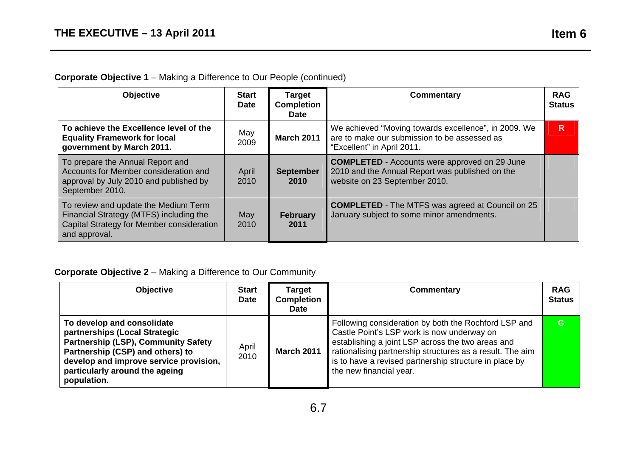### **Corporate Objective 1** – Making a Difference to Our People (continued)

| <b>Objective</b>                                                                                                                              | <b>Start</b><br><b>Date</b> | <b>Target</b><br><b>Completion</b><br><b>Date</b> | Commentary                                                                                                                               | <b>RAG</b><br><b>Status</b> |
|-----------------------------------------------------------------------------------------------------------------------------------------------|-----------------------------|---------------------------------------------------|------------------------------------------------------------------------------------------------------------------------------------------|-----------------------------|
| To achieve the Excellence level of the<br><b>Equality Framework for local</b><br>government by March 2011.                                    | May<br>2009                 | <b>March 2011</b>                                 | We achieved "Moving towards excellence", in 2009. We<br>are to make our submission to be assessed as<br>"Excellent" in April 2011.       | R                           |
| To prepare the Annual Report and<br>Accounts for Member consideration and<br>approval by July 2010 and published by<br>September 2010.        | April<br>2010               | <b>September</b><br>2010                          | <b>COMPLETED</b> - Accounts were approved on 29 June<br>2010 and the Annual Report was published on the<br>website on 23 September 2010. |                             |
| To review and update the Medium Term<br>Financial Strategy (MTFS) including the<br>Capital Strategy for Member consideration<br>and approval. | May<br>2010                 | <b>February</b><br>2011                           | <b>COMPLETED</b> - The MTFS was agreed at Council on 25<br>January subject to some minor amendments.                                     |                             |

#### **Corporate Objective 2** – Making a Difference to Our Community

| <b>Objective</b>                                                                                                                                                                                                                         | <b>Start</b><br><b>Date</b> | <b>Target</b><br><b>Completion</b><br><b>Date</b> | <b>Commentary</b>                                                                                                                                                                                                                                                                                         | <b>RAG</b><br><b>Status</b> |
|------------------------------------------------------------------------------------------------------------------------------------------------------------------------------------------------------------------------------------------|-----------------------------|---------------------------------------------------|-----------------------------------------------------------------------------------------------------------------------------------------------------------------------------------------------------------------------------------------------------------------------------------------------------------|-----------------------------|
| To develop and consolidate<br>partnerships (Local Strategic<br><b>Partnership (LSP), Community Safety</b><br>Partnership (CSP) and others) to<br>develop and improve service provision,<br>particularly around the ageing<br>population. | April<br>2010               | <b>March 2011</b>                                 | Following consideration by both the Rochford LSP and<br>Castle Point's LSP work is now underway on<br>establishing a joint LSP across the two areas and<br>rationalising partnership structures as a result. The aim<br>is to have a revised partnership structure in place by<br>the new financial year. | G.                          |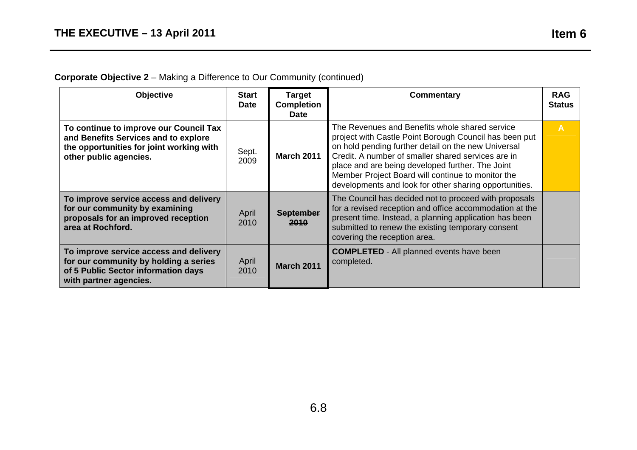# **Corporate Objective 2** – Making a Difference to Our Community (continued)

| <b>Objective</b>                                                                                                                                     | <b>Start</b><br><b>Date</b> | <b>Target</b><br><b>Completion</b><br><b>Date</b> | Commentary                                                                                                                                                                                                                                                                                                                                                                               | <b>RAG</b><br><b>Status</b> |
|------------------------------------------------------------------------------------------------------------------------------------------------------|-----------------------------|---------------------------------------------------|------------------------------------------------------------------------------------------------------------------------------------------------------------------------------------------------------------------------------------------------------------------------------------------------------------------------------------------------------------------------------------------|-----------------------------|
| To continue to improve our Council Tax<br>and Benefits Services and to explore<br>the opportunities for joint working with<br>other public agencies. | Sept.<br>2009               | <b>March 2011</b>                                 | The Revenues and Benefits whole shared service<br>project with Castle Point Borough Council has been put<br>on hold pending further detail on the new Universal<br>Credit. A number of smaller shared services are in<br>place and are being developed further. The Joint<br>Member Project Board will continue to monitor the<br>developments and look for other sharing opportunities. | $\overline{A}$              |
| To improve service access and delivery<br>for our community by examining<br>proposals for an improved reception<br>area at Rochford.                 | April<br>2010               | <b>September</b><br><b>2010</b>                   | The Council has decided not to proceed with proposals<br>for a revised reception and office accommodation at the<br>present time. Instead, a planning application has been<br>submitted to renew the existing temporary consent<br>covering the reception area.                                                                                                                          |                             |
| To improve service access and delivery<br>for our community by holding a series<br>of 5 Public Sector information days<br>with partner agencies.     | April<br>2010               | <b>March 2011</b>                                 | <b>COMPLETED</b> - All planned events have been<br>completed.                                                                                                                                                                                                                                                                                                                            |                             |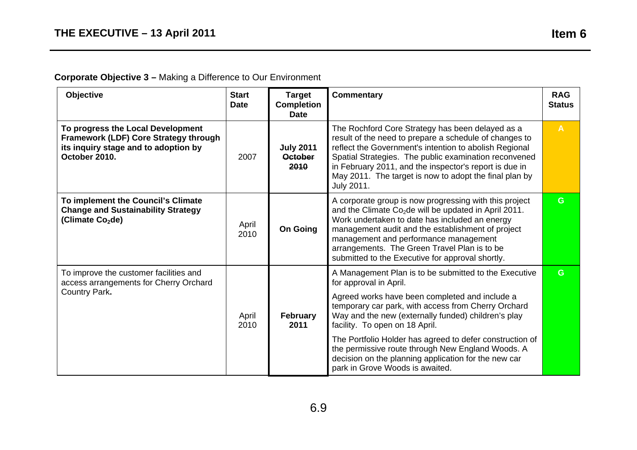# **Corporate Objective 3 –** Making a Difference to Our Environment

| Objective                                                                                                                              | <b>Start</b><br><b>Date</b> | <b>Target</b><br><b>Completion</b><br><b>Date</b>                                                                                                                                                                                                                                                                                                                                                                                                                                             | <b>Commentary</b>                                                                                                                                                                                                                                                                                                                                                               | <b>RAG</b><br><b>Status</b> |
|----------------------------------------------------------------------------------------------------------------------------------------|-----------------------------|-----------------------------------------------------------------------------------------------------------------------------------------------------------------------------------------------------------------------------------------------------------------------------------------------------------------------------------------------------------------------------------------------------------------------------------------------------------------------------------------------|---------------------------------------------------------------------------------------------------------------------------------------------------------------------------------------------------------------------------------------------------------------------------------------------------------------------------------------------------------------------------------|-----------------------------|
| To progress the Local Development<br>Framework (LDF) Core Strategy through<br>its inquiry stage and to adoption by<br>October 2010.    | 2007                        | <b>July 2011</b><br><b>October</b><br>2010                                                                                                                                                                                                                                                                                                                                                                                                                                                    | The Rochford Core Strategy has been delayed as a<br>result of the need to prepare a schedule of changes to<br>reflect the Government's intention to abolish Regional<br>Spatial Strategies. The public examination reconvened<br>in February 2011, and the inspector's report is due in<br>May 2011. The target is now to adopt the final plan by<br>July 2011.                 | $\mathsf{A}$                |
| To implement the Council's Climate<br><b>Change and Sustainability Strategy</b><br>(Climate Co <sub>2</sub> de)                        | April<br>2010               | <b>On Going</b>                                                                                                                                                                                                                                                                                                                                                                                                                                                                               | A corporate group is now progressing with this project<br>and the Climate Co <sub>2</sub> de will be updated in April 2011.<br>Work undertaken to date has included an energy<br>management audit and the establishment of project<br>management and performance management<br>arrangements. The Green Travel Plan is to be<br>submitted to the Executive for approval shortly. | G.                          |
| To improve the customer facilities and<br>access arrangements for Cherry Orchard<br>Country Park.<br>April<br>February<br>2010<br>2011 |                             | A Management Plan is to be submitted to the Executive<br>for approval in April.<br>Agreed works have been completed and include a<br>temporary car park, with access from Cherry Orchard<br>Way and the new (externally funded) children's play<br>facility. To open on 18 April.<br>The Portfolio Holder has agreed to defer construction of<br>the permissive route through New England Woods. A<br>decision on the planning application for the new car<br>park in Grove Woods is awaited. | G.                                                                                                                                                                                                                                                                                                                                                                              |                             |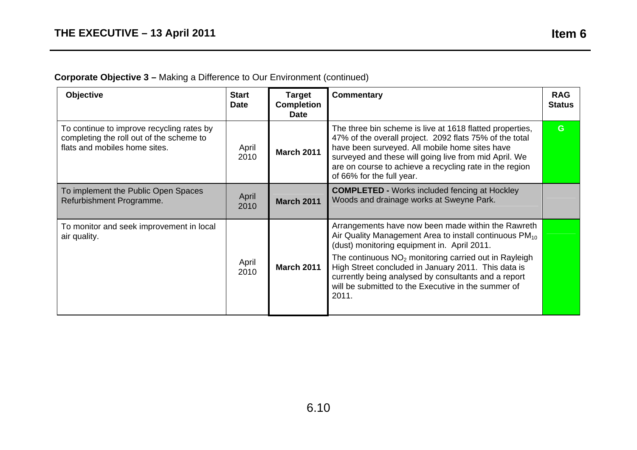# **Corporate Objective 3 –** Making a Difference to Our Environment (continued)

| <b>Objective</b>                                                                                                       | <b>Start</b><br><b>Date</b> | <b>Target</b><br><b>Completion</b><br><b>Date</b> | <b>Commentary</b>                                                                                                                                                                                                                                                                                                                                                                                          | <b>RAG</b><br><b>Status</b> |
|------------------------------------------------------------------------------------------------------------------------|-----------------------------|---------------------------------------------------|------------------------------------------------------------------------------------------------------------------------------------------------------------------------------------------------------------------------------------------------------------------------------------------------------------------------------------------------------------------------------------------------------------|-----------------------------|
| To continue to improve recycling rates by<br>completing the roll out of the scheme to<br>flats and mobiles home sites. | April<br>2010               | <b>March 2011</b>                                 | The three bin scheme is live at 1618 flatted properties,<br>47% of the overall project. 2092 flats 75% of the total<br>have been surveyed. All mobile home sites have<br>surveyed and these will going live from mid April. We<br>are on course to achieve a recycling rate in the region<br>of 66% for the full year.                                                                                     | G.                          |
| To implement the Public Open Spaces<br>Refurbishment Programme.                                                        | April<br>2010               | <b>March 2011</b>                                 | <b>COMPLETED - Works included fencing at Hockley</b><br>Woods and drainage works at Sweyne Park.                                                                                                                                                                                                                                                                                                           |                             |
| To monitor and seek improvement in local<br>air quality.                                                               | April<br>2010               | <b>March 2011</b>                                 | Arrangements have now been made within the Rawreth<br>Air Quality Management Area to install continuous $PM_{10}$<br>(dust) monitoring equipment in. April 2011.<br>The continuous $NO2$ monitoring carried out in Rayleigh<br>High Street concluded in January 2011. This data is<br>currently being analysed by consultants and a report<br>will be submitted to the Executive in the summer of<br>2011. |                             |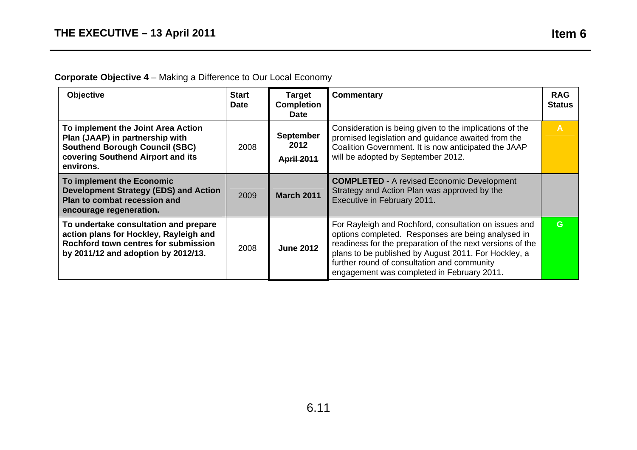# **Corporate Objective 4** – Making a Difference to Our Local Economy

| <b>Objective</b>                                                                                                                                                 | <b>Start</b><br><b>Date</b> | <b>Target</b><br><b>Completion</b><br><b>Date</b> | Commentary                                                                                                                                                                                                                                                                                                                    | <b>RAG</b><br><b>Status</b> |
|------------------------------------------------------------------------------------------------------------------------------------------------------------------|-----------------------------|---------------------------------------------------|-------------------------------------------------------------------------------------------------------------------------------------------------------------------------------------------------------------------------------------------------------------------------------------------------------------------------------|-----------------------------|
| To implement the Joint Area Action<br>Plan (JAAP) in partnership with<br><b>Southend Borough Council (SBC)</b><br>covering Southend Airport and its<br>environs. | 2008                        | <b>September</b><br>2012<br><b>April 2011</b>     | Consideration is being given to the implications of the<br>promised legislation and guidance awaited from the<br>Coalition Government. It is now anticipated the JAAP<br>will be adopted by September 2012.                                                                                                                   | $\overline{A}$              |
| To implement the Economic<br>Development Strategy (EDS) and Action<br>Plan to combat recession and<br>encourage regeneration.                                    | 2009                        | <b>March 2011</b>                                 | <b>COMPLETED - A revised Economic Development</b><br>Strategy and Action Plan was approved by the<br>Executive in February 2011.                                                                                                                                                                                              |                             |
| To undertake consultation and prepare<br>action plans for Hockley, Rayleigh and<br>Rochford town centres for submission<br>by 2011/12 and adoption by 2012/13.   | 2008                        | <b>June 2012</b>                                  | For Rayleigh and Rochford, consultation on issues and<br>options completed. Responses are being analysed in<br>readiness for the preparation of the next versions of the<br>plans to be published by August 2011. For Hockley, a<br>further round of consultation and community<br>engagement was completed in February 2011. | G.                          |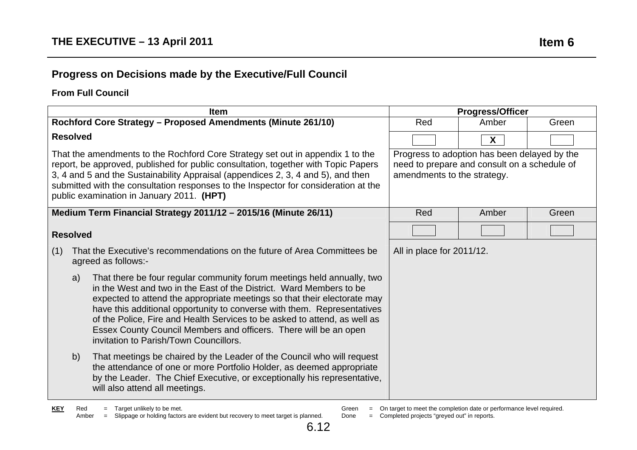# **Progress on Decisions made by the Executive/Full Council**

#### **From Full Council**

| <b>Item</b>                                                                                                                                                                                                                                                                                                                                                                                                                                                                                           |                             | <b>Progress/Officer</b>                                                                      |       |
|-------------------------------------------------------------------------------------------------------------------------------------------------------------------------------------------------------------------------------------------------------------------------------------------------------------------------------------------------------------------------------------------------------------------------------------------------------------------------------------------------------|-----------------------------|----------------------------------------------------------------------------------------------|-------|
| Rochford Core Strategy - Proposed Amendments (Minute 261/10)                                                                                                                                                                                                                                                                                                                                                                                                                                          | Red                         | Amber                                                                                        | Green |
| <b>Resolved</b>                                                                                                                                                                                                                                                                                                                                                                                                                                                                                       |                             | X                                                                                            |       |
| That the amendments to the Rochford Core Strategy set out in appendix 1 to the<br>report, be approved, published for public consultation, together with Topic Papers<br>3, 4 and 5 and the Sustainability Appraisal (appendices 2, 3, 4 and 5), and then<br>submitted with the consultation responses to the Inspector for consideration at the<br>public examination in January 2011. (HPT)                                                                                                          | amendments to the strategy. | Progress to adoption has been delayed by the<br>need to prepare and consult on a schedule of |       |
| Medium Term Financial Strategy 2011/12 - 2015/16 (Minute 26/11)                                                                                                                                                                                                                                                                                                                                                                                                                                       | Red                         | Amber                                                                                        | Green |
| <b>Resolved</b>                                                                                                                                                                                                                                                                                                                                                                                                                                                                                       |                             |                                                                                              |       |
| That the Executive's recommendations on the future of Area Committees be<br>(1)<br>agreed as follows:-                                                                                                                                                                                                                                                                                                                                                                                                | All in place for 2011/12.   |                                                                                              |       |
| That there be four regular community forum meetings held annually, two<br>a)<br>in the West and two in the East of the District. Ward Members to be<br>expected to attend the appropriate meetings so that their electorate may<br>have this additional opportunity to converse with them. Representatives<br>of the Police, Fire and Health Services to be asked to attend, as well as<br>Essex County Council Members and officers. There will be an open<br>invitation to Parish/Town Councillors. |                             |                                                                                              |       |
| b)<br>That meetings be chaired by the Leader of the Council who will request<br>the attendance of one or more Portfolio Holder, as deemed appropriate<br>by the Leader. The Chief Executive, or exceptionally his representative,<br>will also attend all meetings.                                                                                                                                                                                                                                   |                             |                                                                                              |       |

- Green = On target to meet the completion date or performance level required.
- Done = Completed projects "greyed out" in reports.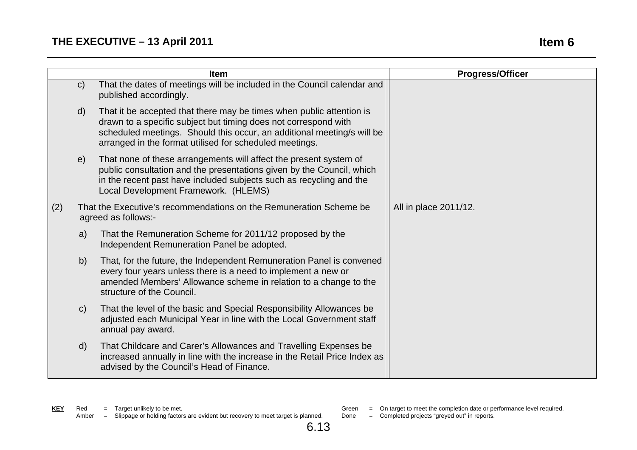|     |              | <b>Item</b>                                                                                                                                                                                                                                                                  | <b>Progress/Officer</b> |
|-----|--------------|------------------------------------------------------------------------------------------------------------------------------------------------------------------------------------------------------------------------------------------------------------------------------|-------------------------|
|     | $\mathsf{C}$ | That the dates of meetings will be included in the Council calendar and<br>published accordingly.                                                                                                                                                                            |                         |
|     | $\mathsf{d}$ | That it be accepted that there may be times when public attention is<br>drawn to a specific subject but timing does not correspond with<br>scheduled meetings. Should this occur, an additional meeting/s will be<br>arranged in the format utilised for scheduled meetings. |                         |
|     | e)           | That none of these arrangements will affect the present system of<br>public consultation and the presentations given by the Council, which<br>in the recent past have included subjects such as recycling and the<br>Local Development Framework. (HLEMS)                    |                         |
| (2) |              | That the Executive's recommendations on the Remuneration Scheme be<br>agreed as follows:-                                                                                                                                                                                    | All in place 2011/12.   |
|     | a)           | That the Remuneration Scheme for 2011/12 proposed by the<br>Independent Remuneration Panel be adopted.                                                                                                                                                                       |                         |
|     | b)           | That, for the future, the Independent Remuneration Panel is convened<br>every four years unless there is a need to implement a new or<br>amended Members' Allowance scheme in relation to a change to the<br>structure of the Council.                                       |                         |
|     | $\mathsf{C}$ | That the level of the basic and Special Responsibility Allowances be<br>adjusted each Municipal Year in line with the Local Government staff<br>annual pay award.                                                                                                            |                         |
|     | $\mathsf{d}$ | That Childcare and Carer's Allowances and Travelling Expenses be<br>increased annually in line with the increase in the Retail Price Index as<br>advised by the Council's Head of Finance.                                                                                   |                         |

- - Green = On target to meet the completion date or performance level required.
	- Done = Completed projects "greyed out" in reports.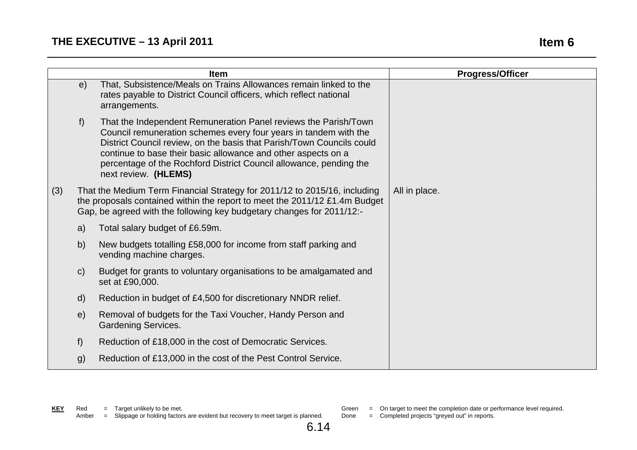|     |              | <b>Item</b>                                                                                                                                                                                                                                                                                                                                                                 | <b>Progress/Officer</b> |
|-----|--------------|-----------------------------------------------------------------------------------------------------------------------------------------------------------------------------------------------------------------------------------------------------------------------------------------------------------------------------------------------------------------------------|-------------------------|
|     | e)           | That, Subsistence/Meals on Trains Allowances remain linked to the<br>rates payable to District Council officers, which reflect national<br>arrangements.                                                                                                                                                                                                                    |                         |
|     | f)           | That the Independent Remuneration Panel reviews the Parish/Town<br>Council remuneration schemes every four years in tandem with the<br>District Council review, on the basis that Parish/Town Councils could<br>continue to base their basic allowance and other aspects on a<br>percentage of the Rochford District Council allowance, pending the<br>next review. (HLEMS) |                         |
| (3) |              | That the Medium Term Financial Strategy for 2011/12 to 2015/16, including<br>the proposals contained within the report to meet the 2011/12 £1.4m Budget<br>Gap, be agreed with the following key budgetary changes for 2011/12:-                                                                                                                                            | All in place.           |
|     | a)           | Total salary budget of £6.59m.                                                                                                                                                                                                                                                                                                                                              |                         |
|     | b)           | New budgets totalling £58,000 for income from staff parking and<br>vending machine charges.                                                                                                                                                                                                                                                                                 |                         |
|     | $\mathsf{C}$ | Budget for grants to voluntary organisations to be amalgamated and<br>set at £90,000.                                                                                                                                                                                                                                                                                       |                         |
|     | $\mathsf{d}$ | Reduction in budget of £4,500 for discretionary NNDR relief.                                                                                                                                                                                                                                                                                                                |                         |
|     | e)           | Removal of budgets for the Taxi Voucher, Handy Person and<br><b>Gardening Services.</b>                                                                                                                                                                                                                                                                                     |                         |
|     | f)           | Reduction of £18,000 in the cost of Democratic Services.                                                                                                                                                                                                                                                                                                                    |                         |
|     | g)           | Reduction of £13,000 in the cost of the Pest Control Service.                                                                                                                                                                                                                                                                                                               |                         |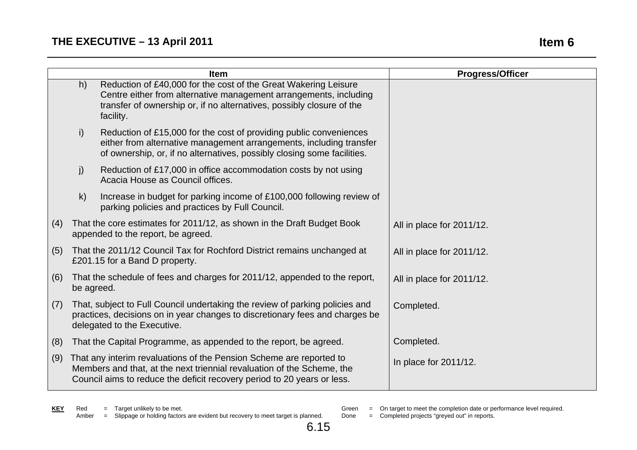|     |                                                                                                                                                                                                                          | <b>Item</b>                                                                                                                                                                                                                | <b>Progress/Officer</b>   |
|-----|--------------------------------------------------------------------------------------------------------------------------------------------------------------------------------------------------------------------------|----------------------------------------------------------------------------------------------------------------------------------------------------------------------------------------------------------------------------|---------------------------|
|     | h)                                                                                                                                                                                                                       | Reduction of £40,000 for the cost of the Great Wakering Leisure<br>Centre either from alternative management arrangements, including<br>transfer of ownership or, if no alternatives, possibly closure of the<br>facility. |                           |
|     | i)                                                                                                                                                                                                                       | Reduction of £15,000 for the cost of providing public conveniences<br>either from alternative management arrangements, including transfer<br>of ownership, or, if no alternatives, possibly closing some facilities.       |                           |
|     | j)                                                                                                                                                                                                                       | Reduction of £17,000 in office accommodation costs by not using<br>Acacia House as Council offices.                                                                                                                        |                           |
|     | $\mathsf{k}$                                                                                                                                                                                                             | Increase in budget for parking income of £100,000 following review of<br>parking policies and practices by Full Council.                                                                                                   |                           |
| (4) | That the core estimates for 2011/12, as shown in the Draft Budget Book<br>appended to the report, be agreed.                                                                                                             |                                                                                                                                                                                                                            | All in place for 2011/12. |
| (5) |                                                                                                                                                                                                                          | That the 2011/12 Council Tax for Rochford District remains unchanged at<br>£201.15 for a Band D property.                                                                                                                  | All in place for 2011/12. |
| (6) | That the schedule of fees and charges for 2011/12, appended to the report,<br>be agreed.                                                                                                                                 |                                                                                                                                                                                                                            | All in place for 2011/12. |
| (7) | That, subject to Full Council undertaking the review of parking policies and<br>practices, decisions on in year changes to discretionary fees and charges be<br>delegated to the Executive.                              |                                                                                                                                                                                                                            | Completed.                |
| (8) | That the Capital Programme, as appended to the report, be agreed.                                                                                                                                                        |                                                                                                                                                                                                                            | Completed.                |
| (9) | That any interim revaluations of the Pension Scheme are reported to<br>Members and that, at the next triennial revaluation of the Scheme, the<br>Council aims to reduce the deficit recovery period to 20 years or less. |                                                                                                                                                                                                                            | In place for 2011/12.     |

Green = On target to meet the completion date or performance level required.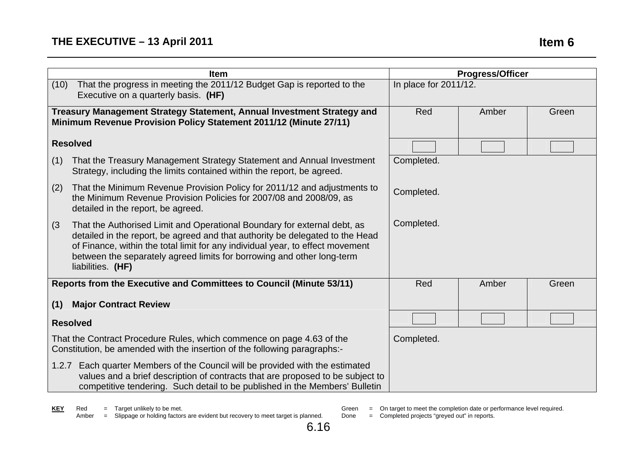|                                                                                                                                                                                                                                                                                                                                                   | <b>Item</b>                                                                                                                                                                          |            | <b>Progress/Officer</b> |       |
|---------------------------------------------------------------------------------------------------------------------------------------------------------------------------------------------------------------------------------------------------------------------------------------------------------------------------------------------------|--------------------------------------------------------------------------------------------------------------------------------------------------------------------------------------|------------|-------------------------|-------|
|                                                                                                                                                                                                                                                                                                                                                   | That the progress in meeting the 2011/12 Budget Gap is reported to the<br>(10)<br>Executive on a quarterly basis. (HF)                                                               |            | In place for 2011/12.   |       |
| Treasury Management Strategy Statement, Annual Investment Strategy and<br>Minimum Revenue Provision Policy Statement 2011/12 (Minute 27/11)                                                                                                                                                                                                       |                                                                                                                                                                                      | Red        | Amber                   | Green |
|                                                                                                                                                                                                                                                                                                                                                   | <b>Resolved</b>                                                                                                                                                                      |            |                         |       |
| (1)                                                                                                                                                                                                                                                                                                                                               | That the Treasury Management Strategy Statement and Annual Investment<br>Strategy, including the limits contained within the report, be agreed.                                      | Completed. |                         |       |
| (2)                                                                                                                                                                                                                                                                                                                                               | That the Minimum Revenue Provision Policy for 2011/12 and adjustments to<br>the Minimum Revenue Provision Policies for 2007/08 and 2008/09, as<br>detailed in the report, be agreed. | Completed. |                         |       |
| (3)<br>That the Authorised Limit and Operational Boundary for external debt, as<br>detailed in the report, be agreed and that authority be delegated to the Head<br>of Finance, within the total limit for any individual year, to effect movement<br>between the separately agreed limits for borrowing and other long-term<br>liabilities. (HF) |                                                                                                                                                                                      | Completed. |                         |       |
|                                                                                                                                                                                                                                                                                                                                                   | Reports from the Executive and Committees to Council (Minute 53/11)                                                                                                                  | Red        | Amber                   | Green |
| (1)                                                                                                                                                                                                                                                                                                                                               | <b>Major Contract Review</b>                                                                                                                                                         |            |                         |       |
| <b>Resolved</b>                                                                                                                                                                                                                                                                                                                                   |                                                                                                                                                                                      |            |                         |       |
| That the Contract Procedure Rules, which commence on page 4.63 of the<br>Constitution, be amended with the insertion of the following paragraphs:-                                                                                                                                                                                                |                                                                                                                                                                                      | Completed. |                         |       |
| Each quarter Members of the Council will be provided with the estimated<br>1.2.7<br>values and a brief description of contracts that are proposed to be subject to<br>competitive tendering. Such detail to be published in the Members' Bulletin                                                                                                 |                                                                                                                                                                                      |            |                         |       |

Green = On target to meet the completion date or performance level required.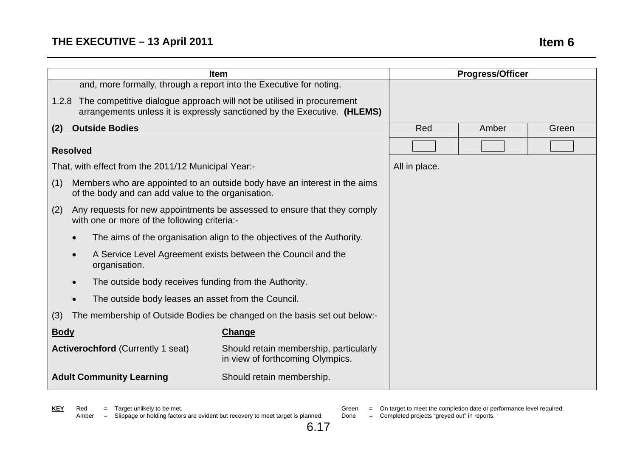|                                                                                                                                                         | <b>Item</b>                                                                                                              |               |       | <b>Progress/Officer</b> |
|---------------------------------------------------------------------------------------------------------------------------------------------------------|--------------------------------------------------------------------------------------------------------------------------|---------------|-------|-------------------------|
| and, more formally, through a report into the Executive for noting.                                                                                     |                                                                                                                          |               |       |                         |
| 1.2.8 The competitive dialogue approach will not be utilised in procurement<br>arrangements unless it is expressly sanctioned by the Executive. (HLEMS) |                                                                                                                          |               |       |                         |
| <b>Outside Bodies</b><br>(2)                                                                                                                            |                                                                                                                          | Red           | Amber | Green                   |
| <b>Resolved</b>                                                                                                                                         |                                                                                                                          |               |       |                         |
| That, with effect from the 2011/12 Municipal Year:-                                                                                                     |                                                                                                                          | All in place. |       |                         |
| Members who are appointed to an outside body have an interest in the aims<br>(1)<br>of the body and can add value to the organisation.                  |                                                                                                                          |               |       |                         |
| (2)                                                                                                                                                     | Any requests for new appointments be assessed to ensure that they comply<br>with one or more of the following criteria:- |               |       |                         |
| The aims of the organisation align to the objectives of the Authority.                                                                                  |                                                                                                                          |               |       |                         |
| A Service Level Agreement exists between the Council and the<br>organisation.                                                                           |                                                                                                                          |               |       |                         |
| The outside body receives funding from the Authority.<br>$\bullet$                                                                                      |                                                                                                                          |               |       |                         |
| The outside body leases an asset from the Council.                                                                                                      |                                                                                                                          |               |       |                         |
| (3)                                                                                                                                                     | The membership of Outside Bodies be changed on the basis set out below:-                                                 |               |       |                         |
| <b>Body</b>                                                                                                                                             | Change                                                                                                                   |               |       |                         |
| <b>Activerochford (Currently 1 seat)</b>                                                                                                                | Should retain membership, particularly<br>in view of forthcoming Olympics.                                               |               |       |                         |
| <b>Adult Community Learning</b><br>Should retain membership.                                                                                            |                                                                                                                          |               |       |                         |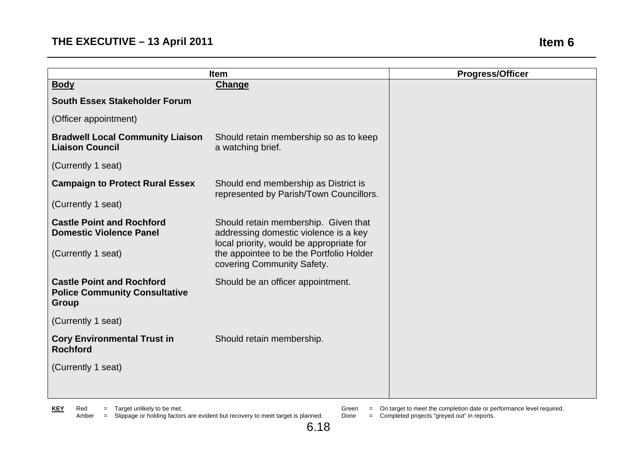|                                                                                   | <b>Item</b>                                                                                                               | <b>Progress/Officer</b> |
|-----------------------------------------------------------------------------------|---------------------------------------------------------------------------------------------------------------------------|-------------------------|
| <b>Body</b>                                                                       | Change                                                                                                                    |                         |
| <b>South Essex Stakeholder Forum</b>                                              |                                                                                                                           |                         |
| (Officer appointment)                                                             |                                                                                                                           |                         |
| <b>Bradwell Local Community Liaison</b><br><b>Liaison Council</b>                 | Should retain membership so as to keep<br>a watching brief.                                                               |                         |
| (Currently 1 seat)                                                                |                                                                                                                           |                         |
| <b>Campaign to Protect Rural Essex</b>                                            | Should end membership as District is<br>represented by Parish/Town Councillors.                                           |                         |
| (Currently 1 seat)                                                                |                                                                                                                           |                         |
| <b>Castle Point and Rochford</b><br><b>Domestic Violence Panel</b>                | Should retain membership. Given that<br>addressing domestic violence is a key<br>local priority, would be appropriate for |                         |
| (Currently 1 seat)                                                                | the appointee to be the Portfolio Holder<br>covering Community Safety.                                                    |                         |
| <b>Castle Point and Rochford</b><br><b>Police Community Consultative</b><br>Group | Should be an officer appointment.                                                                                         |                         |
| (Currently 1 seat)                                                                |                                                                                                                           |                         |
| <b>Cory Environmental Trust in</b><br><b>Rochford</b>                             | Should retain membership.                                                                                                 |                         |
| (Currently 1 seat)                                                                |                                                                                                                           |                         |
|                                                                                   |                                                                                                                           |                         |

**KEY** Red = Target unlikely to be met.

Amber = Slippage or holding factors are evident but recovery to meet target is planned.

Green = On target to meet the completion date or performance level required.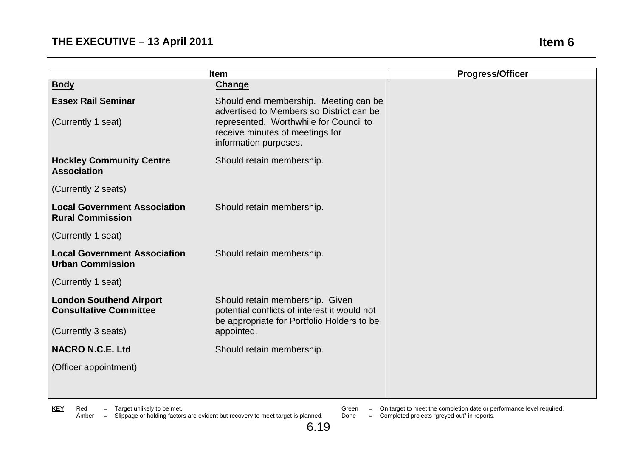|                                                                 | <b>Item</b>                                                                                                                                                                             | <b>Progress/Officer</b> |
|-----------------------------------------------------------------|-----------------------------------------------------------------------------------------------------------------------------------------------------------------------------------------|-------------------------|
| <b>Body</b>                                                     | <b>Change</b>                                                                                                                                                                           |                         |
| <b>Essex Rail Seminar</b><br>(Currently 1 seat)                 | Should end membership. Meeting can be<br>advertised to Members so District can be<br>represented. Worthwhile for Council to<br>receive minutes of meetings for<br>information purposes. |                         |
| <b>Hockley Community Centre</b><br><b>Association</b>           | Should retain membership.                                                                                                                                                               |                         |
| (Currently 2 seats)                                             |                                                                                                                                                                                         |                         |
| <b>Local Government Association</b><br><b>Rural Commission</b>  | Should retain membership.                                                                                                                                                               |                         |
| (Currently 1 seat)                                              |                                                                                                                                                                                         |                         |
| <b>Local Government Association</b><br><b>Urban Commission</b>  | Should retain membership.                                                                                                                                                               |                         |
| (Currently 1 seat)                                              |                                                                                                                                                                                         |                         |
| <b>London Southend Airport</b><br><b>Consultative Committee</b> | Should retain membership. Given<br>potential conflicts of interest it would not<br>be appropriate for Portfolio Holders to be                                                           |                         |
| (Currently 3 seats)                                             | appointed.                                                                                                                                                                              |                         |
| <b>NACRO N.C.E. Ltd</b>                                         | Should retain membership.                                                                                                                                                               |                         |
| (Officer appointment)                                           |                                                                                                                                                                                         |                         |
|                                                                 |                                                                                                                                                                                         |                         |

- - Green = On target to meet the completion date or performance level required.
	- Done = Completed projects "greyed out" in reports.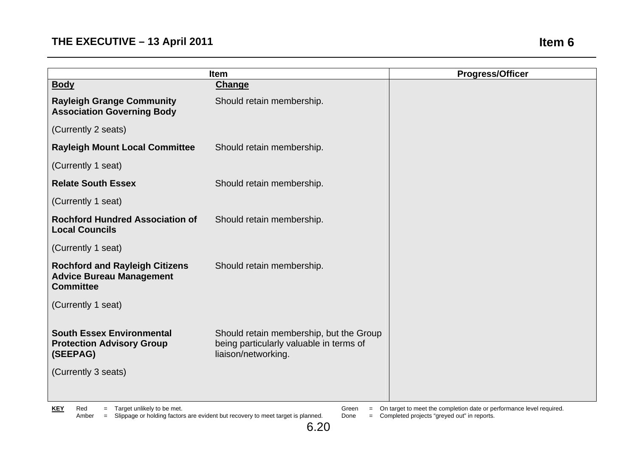|                                                                                              | <b>Item</b>                                                                                               | <b>Progress/Officer</b> |
|----------------------------------------------------------------------------------------------|-----------------------------------------------------------------------------------------------------------|-------------------------|
| <b>Body</b>                                                                                  | <b>Change</b>                                                                                             |                         |
| <b>Rayleigh Grange Community</b><br><b>Association Governing Body</b>                        | Should retain membership.                                                                                 |                         |
| (Currently 2 seats)                                                                          |                                                                                                           |                         |
| <b>Rayleigh Mount Local Committee</b>                                                        | Should retain membership.                                                                                 |                         |
| (Currently 1 seat)                                                                           |                                                                                                           |                         |
| <b>Relate South Essex</b>                                                                    | Should retain membership.                                                                                 |                         |
| (Currently 1 seat)                                                                           |                                                                                                           |                         |
| <b>Rochford Hundred Association of</b><br><b>Local Councils</b>                              | Should retain membership.                                                                                 |                         |
| (Currently 1 seat)                                                                           |                                                                                                           |                         |
| <b>Rochford and Rayleigh Citizens</b><br><b>Advice Bureau Management</b><br><b>Committee</b> | Should retain membership.                                                                                 |                         |
| (Currently 1 seat)                                                                           |                                                                                                           |                         |
| <b>South Essex Environmental</b><br><b>Protection Advisory Group</b><br>(SEEPAG)             | Should retain membership, but the Group<br>being particularly valuable in terms of<br>liaison/networking. |                         |
| (Currently 3 seats)                                                                          |                                                                                                           |                         |

**KEY** Red = Target unlikely to be met.

Amber = Slippage or holding factors are evident but recovery to meet target is planned.

Green = On target to meet the completion date or performance level required. Done = Completed projects "greyed out" in reports.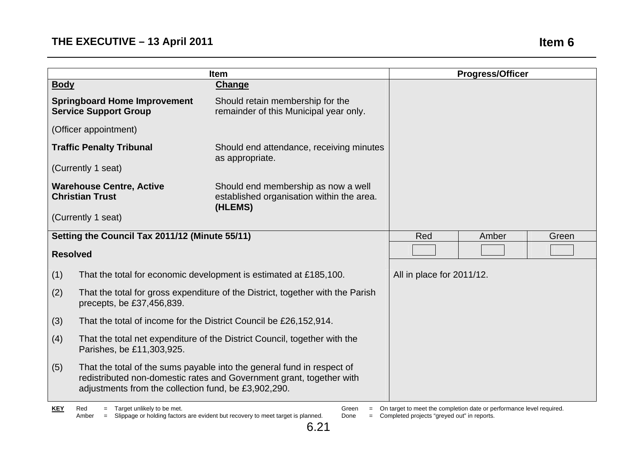|                                                                                                               |                                                                                  | <b>Progress/Officer</b>                                                                                                                                                                                                                                                                                                                                                                                                                                                                                                           |
|---------------------------------------------------------------------------------------------------------------|----------------------------------------------------------------------------------|-----------------------------------------------------------------------------------------------------------------------------------------------------------------------------------------------------------------------------------------------------------------------------------------------------------------------------------------------------------------------------------------------------------------------------------------------------------------------------------------------------------------------------------|
|                                                                                                               | Change                                                                           |                                                                                                                                                                                                                                                                                                                                                                                                                                                                                                                                   |
| <b>Springboard Home Improvement</b><br><b>Service Support Group</b>                                           | Should retain membership for the<br>remainder of this Municipal year only.       |                                                                                                                                                                                                                                                                                                                                                                                                                                                                                                                                   |
| (Officer appointment)                                                                                         |                                                                                  |                                                                                                                                                                                                                                                                                                                                                                                                                                                                                                                                   |
| <b>Traffic Penalty Tribunal</b>                                                                               | Should end attendance, receiving minutes                                         |                                                                                                                                                                                                                                                                                                                                                                                                                                                                                                                                   |
| (Currently 1 seat)                                                                                            |                                                                                  |                                                                                                                                                                                                                                                                                                                                                                                                                                                                                                                                   |
| <b>Warehouse Centre, Active</b><br><b>Christian Trust</b>                                                     | Should end membership as now a well<br>established organisation within the area. |                                                                                                                                                                                                                                                                                                                                                                                                                                                                                                                                   |
| (Currently 1 seat)                                                                                            |                                                                                  |                                                                                                                                                                                                                                                                                                                                                                                                                                                                                                                                   |
|                                                                                                               |                                                                                  | Red<br>Amber<br>Green                                                                                                                                                                                                                                                                                                                                                                                                                                                                                                             |
| <b>Resolved</b>                                                                                               |                                                                                  |                                                                                                                                                                                                                                                                                                                                                                                                                                                                                                                                   |
|                                                                                                               |                                                                                  | All in place for 2011/12.                                                                                                                                                                                                                                                                                                                                                                                                                                                                                                         |
| precepts, be £37,456,839.                                                                                     |                                                                                  |                                                                                                                                                                                                                                                                                                                                                                                                                                                                                                                                   |
|                                                                                                               |                                                                                  |                                                                                                                                                                                                                                                                                                                                                                                                                                                                                                                                   |
| That the total net expenditure of the District Council, together with the<br>(4)<br>Parishes, be £11,303,925. |                                                                                  |                                                                                                                                                                                                                                                                                                                                                                                                                                                                                                                                   |
|                                                                                                               |                                                                                  |                                                                                                                                                                                                                                                                                                                                                                                                                                                                                                                                   |
|                                                                                                               |                                                                                  | <b>Item</b><br>as appropriate.<br>(HLEMS)<br>Setting the Council Tax 2011/12 (Minute 55/11)<br>That the total for economic development is estimated at £185,100.<br>That the total for gross expenditure of the District, together with the Parish<br>That the total of income for the District Council be £26,152,914.<br>That the total of the sums payable into the general fund in respect of<br>redistributed non-domestic rates and Government grant, together with<br>adjustments from the collection fund, be £3,902,290. |

Green = On target to meet the completion date or performance level required.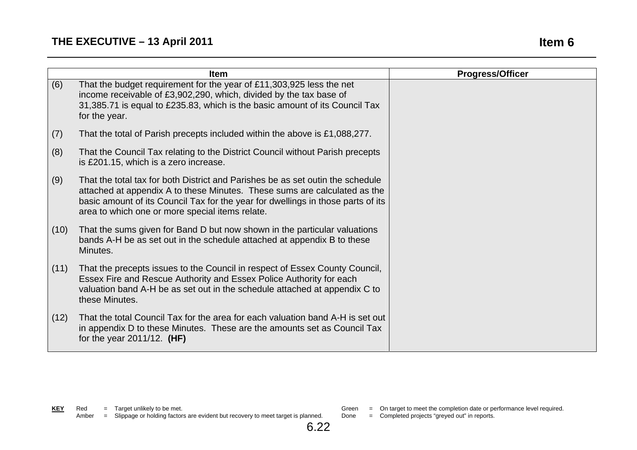# **THE EXECUTIVE – 13 April 2011 If the state of the state of the state of the state of the state of the state of the state of the state of the state of the state of the state of the state of the state of the state of the**

|      | <b>Item</b>                                                                                                                                                                                                                                                                                        | <b>Progress/Officer</b> |
|------|----------------------------------------------------------------------------------------------------------------------------------------------------------------------------------------------------------------------------------------------------------------------------------------------------|-------------------------|
| (6)  | That the budget requirement for the year of £11,303,925 less the net<br>income receivable of £3,902,290, which, divided by the tax base of<br>31,385.71 is equal to £235.83, which is the basic amount of its Council Tax<br>for the year.                                                         |                         |
| (7)  | That the total of Parish precepts included within the above is £1,088,277.                                                                                                                                                                                                                         |                         |
| (8)  | That the Council Tax relating to the District Council without Parish precepts<br>is £201.15, which is a zero increase.                                                                                                                                                                             |                         |
| (9)  | That the total tax for both District and Parishes be as set outin the schedule<br>attached at appendix A to these Minutes. These sums are calculated as the<br>basic amount of its Council Tax for the year for dwellings in those parts of its<br>area to which one or more special items relate. |                         |
| (10) | That the sums given for Band D but now shown in the particular valuations<br>bands A-H be as set out in the schedule attached at appendix B to these<br>Minutes.                                                                                                                                   |                         |
| (11) | That the precepts issues to the Council in respect of Essex County Council,<br>Essex Fire and Rescue Authority and Essex Police Authority for each<br>valuation band A-H be as set out in the schedule attached at appendix C to<br>these Minutes.                                                 |                         |
| (12) | That the total Council Tax for the area for each valuation band A-H is set out<br>in appendix D to these Minutes. These are the amounts set as Council Tax<br>for the year $2011/12$ . (HF)                                                                                                        |                         |

Green = On target to meet the completion date or performance level required.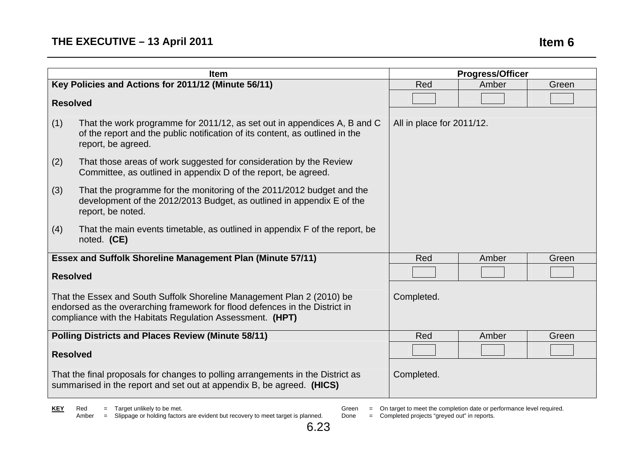# **THE EXECUTIVE – 13 April 2011 If the state of the state of the state of the state of the state of the state of the state of the state of the state of the state of the state of the state of the state of the state of the**

|                                                                                                                                                                                                                    | <b>Item</b>                                                                                                                                                                    | <b>Progress/Officer</b>   |       |       |
|--------------------------------------------------------------------------------------------------------------------------------------------------------------------------------------------------------------------|--------------------------------------------------------------------------------------------------------------------------------------------------------------------------------|---------------------------|-------|-------|
|                                                                                                                                                                                                                    | Key Policies and Actions for 2011/12 (Minute 56/11)                                                                                                                            | Red                       | Amber | Green |
| <b>Resolved</b>                                                                                                                                                                                                    |                                                                                                                                                                                |                           |       |       |
| (1)                                                                                                                                                                                                                | That the work programme for 2011/12, as set out in appendices A, B and C<br>of the report and the public notification of its content, as outlined in the<br>report, be agreed. | All in place for 2011/12. |       |       |
| (2)                                                                                                                                                                                                                | That those areas of work suggested for consideration by the Review<br>Committee, as outlined in appendix D of the report, be agreed.                                           |                           |       |       |
| (3)                                                                                                                                                                                                                | That the programme for the monitoring of the 2011/2012 budget and the<br>development of the 2012/2013 Budget, as outlined in appendix E of the<br>report, be noted.            |                           |       |       |
| (4)                                                                                                                                                                                                                | That the main events timetable, as outlined in appendix F of the report, be<br>noted. (CE)                                                                                     |                           |       |       |
|                                                                                                                                                                                                                    | <b>Essex and Suffolk Shoreline Management Plan (Minute 57/11)</b>                                                                                                              | Red                       | Amber | Green |
| <b>Resolved</b>                                                                                                                                                                                                    |                                                                                                                                                                                |                           |       |       |
| That the Essex and South Suffolk Shoreline Management Plan 2 (2010) be<br>endorsed as the overarching framework for flood defences in the District in<br>compliance with the Habitats Regulation Assessment. (HPT) |                                                                                                                                                                                | Completed.                |       |       |
| <b>Polling Districts and Places Review (Minute 58/11)</b>                                                                                                                                                          |                                                                                                                                                                                | Red                       | Amber | Green |
| <b>Resolved</b>                                                                                                                                                                                                    |                                                                                                                                                                                |                           |       |       |
| That the final proposals for changes to polling arrangements in the District as<br>summarised in the report and set out at appendix B, be agreed. (HICS)                                                           |                                                                                                                                                                                | Completed.                |       |       |

**KEY** Red = Target unlikely to be met. Amber = Slippage or holding factors are evident but recovery to meet target is planned.

Green = On target to meet the completion date or performance level required.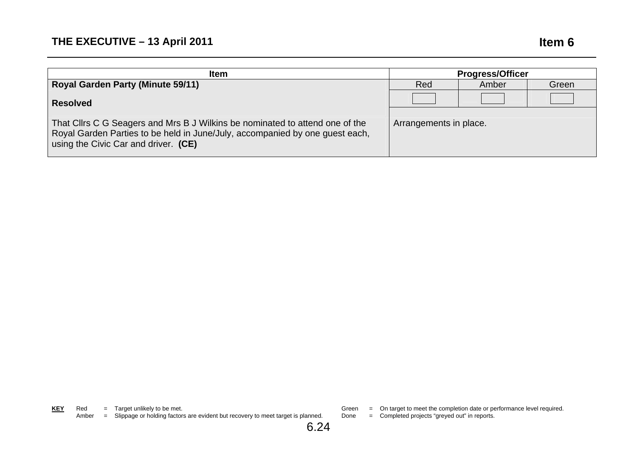| <b>Item</b>                                                                                                                                                                                          | <b>Progress/Officer</b> |       |       |
|------------------------------------------------------------------------------------------------------------------------------------------------------------------------------------------------------|-------------------------|-------|-------|
| <b>Royal Garden Party (Minute 59/11)</b>                                                                                                                                                             | Red                     | Amber | Green |
| <b>Resolved</b>                                                                                                                                                                                      |                         |       |       |
| That Cllrs C G Seagers and Mrs B J Wilkins be nominated to attend one of the<br>Royal Garden Parties to be held in June/July, accompanied by one guest each,<br>using the Civic Car and driver. (CE) | Arrangements in place.  |       |       |

**KEY** Red = Target unlikely to be met. Amber = Slippage or holding factors are evident but recovery to meet target is planned.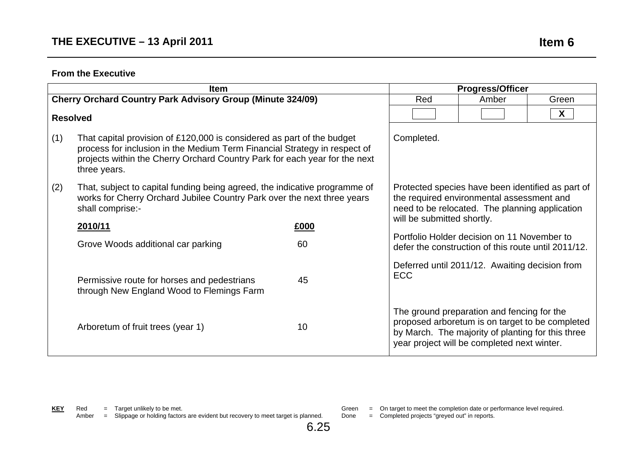|     | <b>Item</b>                                                                                                                                                                                                                                       |      |                                                                                                                                                  | <b>Progress/Officer</b>                                                                                                                                                                           |                           |
|-----|---------------------------------------------------------------------------------------------------------------------------------------------------------------------------------------------------------------------------------------------------|------|--------------------------------------------------------------------------------------------------------------------------------------------------|---------------------------------------------------------------------------------------------------------------------------------------------------------------------------------------------------|---------------------------|
|     | <b>Cherry Orchard Country Park Advisory Group (Minute 324/09)</b>                                                                                                                                                                                 |      |                                                                                                                                                  | Amber                                                                                                                                                                                             | Green                     |
|     | <b>Resolved</b>                                                                                                                                                                                                                                   |      |                                                                                                                                                  |                                                                                                                                                                                                   | $\boldsymbol{\mathsf{X}}$ |
| (1) | That capital provision of £120,000 is considered as part of the budget<br>process for inclusion in the Medium Term Financial Strategy in respect of<br>projects within the Cherry Orchard Country Park for each year for the next<br>three years. |      | Completed.                                                                                                                                       |                                                                                                                                                                                                   |                           |
| (2) | That, subject to capital funding being agreed, the indicative programme of<br>works for Cherry Orchard Jubilee Country Park over the next three years<br>shall comprise:-                                                                         |      | Protected species have been identified as part of<br>the required environmental assessment and<br>need to be relocated. The planning application |                                                                                                                                                                                                   |                           |
|     | 2010/11                                                                                                                                                                                                                                           | £000 | will be submitted shortly.                                                                                                                       |                                                                                                                                                                                                   |                           |
|     | Grove Woods additional car parking                                                                                                                                                                                                                | 60   |                                                                                                                                                  | Portfolio Holder decision on 11 November to<br>defer the construction of this route until 2011/12.                                                                                                |                           |
|     | Permissive route for horses and pedestrians<br>through New England Wood to Flemings Farm                                                                                                                                                          | 45   | <b>ECC</b>                                                                                                                                       | Deferred until 2011/12. Awaiting decision from                                                                                                                                                    |                           |
|     | Arboretum of fruit trees (year 1)                                                                                                                                                                                                                 | 10   |                                                                                                                                                  | The ground preparation and fencing for the<br>proposed arboretum is on target to be completed<br>by March. The majority of planting for this three<br>year project will be completed next winter. |                           |

Amber = Slippage or holding factors are evident but recovery to meet target is planned.

6.25

Green = On target to meet the completion date or performance level required.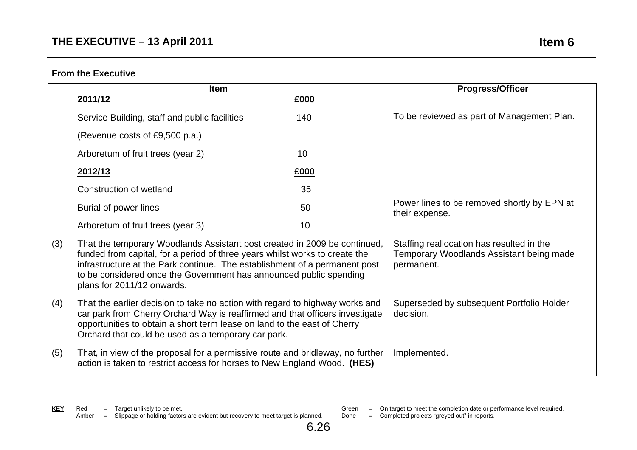|     | <b>Item</b>                                                                                                                                                                                                                                                                                                                                |      | <b>Progress/Officer</b>                                                                             |
|-----|--------------------------------------------------------------------------------------------------------------------------------------------------------------------------------------------------------------------------------------------------------------------------------------------------------------------------------------------|------|-----------------------------------------------------------------------------------------------------|
|     | 2011/12                                                                                                                                                                                                                                                                                                                                    | £000 |                                                                                                     |
|     | Service Building, staff and public facilities                                                                                                                                                                                                                                                                                              | 140  | To be reviewed as part of Management Plan.                                                          |
|     | (Revenue costs of £9,500 p.a.)                                                                                                                                                                                                                                                                                                             |      |                                                                                                     |
|     | Arboretum of fruit trees (year 2)                                                                                                                                                                                                                                                                                                          | 10   |                                                                                                     |
|     | 2012/13                                                                                                                                                                                                                                                                                                                                    | £000 |                                                                                                     |
|     | Construction of wetland                                                                                                                                                                                                                                                                                                                    | 35   |                                                                                                     |
|     | Burial of power lines                                                                                                                                                                                                                                                                                                                      | 50   | Power lines to be removed shortly by EPN at<br>their expense.                                       |
|     | Arboretum of fruit trees (year 3)                                                                                                                                                                                                                                                                                                          | 10   |                                                                                                     |
| (3) | That the temporary Woodlands Assistant post created in 2009 be continued,<br>funded from capital, for a period of three years whilst works to create the<br>infrastructure at the Park continue. The establishment of a permanent post<br>to be considered once the Government has announced public spending<br>plans for 2011/12 onwards. |      | Staffing reallocation has resulted in the<br>Temporary Woodlands Assistant being made<br>permanent. |
| (4) | That the earlier decision to take no action with regard to highway works and<br>car park from Cherry Orchard Way is reaffirmed and that officers investigate<br>opportunities to obtain a short term lease on land to the east of Cherry<br>Orchard that could be used as a temporary car park.                                            |      | Superseded by subsequent Portfolio Holder<br>decision.                                              |
| (5) | That, in view of the proposal for a permissive route and bridleway, no further<br>action is taken to restrict access for horses to New England Wood. (HES)                                                                                                                                                                                 |      | Implemented.                                                                                        |

- Green = On target to meet the completion date or performance level required.
- Done = Completed projects "greyed out" in reports.

6.26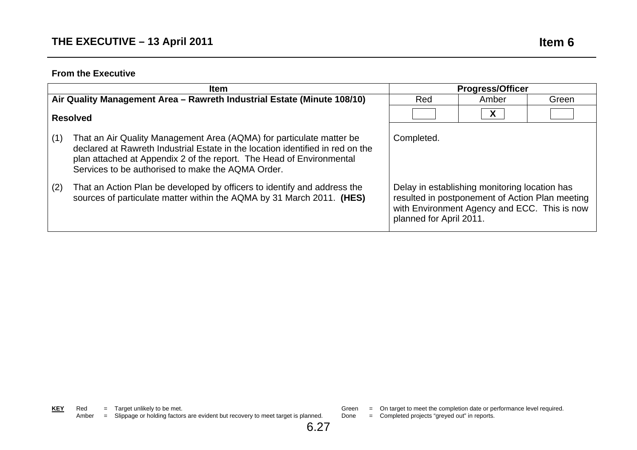|     | <b>Item</b>                                                                                                                                                                                                                                                                         | <b>Progress/Officer</b>                                                                                                                                                     |              |       |
|-----|-------------------------------------------------------------------------------------------------------------------------------------------------------------------------------------------------------------------------------------------------------------------------------------|-----------------------------------------------------------------------------------------------------------------------------------------------------------------------------|--------------|-------|
|     | Air Quality Management Area - Rawreth Industrial Estate (Minute 108/10)                                                                                                                                                                                                             | Red                                                                                                                                                                         | Amber        | Green |
|     | <b>Resolved</b>                                                                                                                                                                                                                                                                     |                                                                                                                                                                             | $\mathsf{X}$ |       |
| (1) | That an Air Quality Management Area (AQMA) for particulate matter be<br>declared at Rawreth Industrial Estate in the location identified in red on the<br>plan attached at Appendix 2 of the report. The Head of Environmental<br>Services to be authorised to make the AQMA Order. | Completed.                                                                                                                                                                  |              |       |
| (2) | That an Action Plan be developed by officers to identify and address the<br>sources of particulate matter within the AQMA by 31 March 2011. (HES)                                                                                                                                   | Delay in establishing monitoring location has<br>resulted in postponement of Action Plan meeting<br>with Environment Agency and ECC. This is now<br>planned for April 2011. |              |       |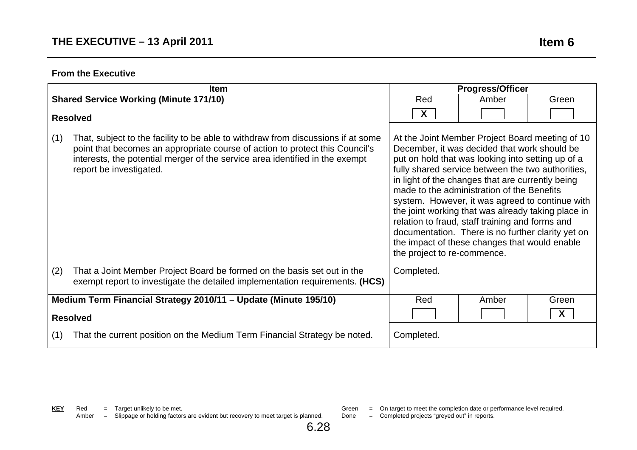| Item                                                                                                                                                                                                                                                                               |            | <b>Progress/Officer</b>                                                                                                                                                                                                                                                                                                                                                                                                                                                                                                                                                                                      |       |  |
|------------------------------------------------------------------------------------------------------------------------------------------------------------------------------------------------------------------------------------------------------------------------------------|------------|--------------------------------------------------------------------------------------------------------------------------------------------------------------------------------------------------------------------------------------------------------------------------------------------------------------------------------------------------------------------------------------------------------------------------------------------------------------------------------------------------------------------------------------------------------------------------------------------------------------|-------|--|
| <b>Shared Service Working (Minute 171/10)</b>                                                                                                                                                                                                                                      | Red        | Amber                                                                                                                                                                                                                                                                                                                                                                                                                                                                                                                                                                                                        | Green |  |
| <b>Resolved</b>                                                                                                                                                                                                                                                                    | X          |                                                                                                                                                                                                                                                                                                                                                                                                                                                                                                                                                                                                              |       |  |
| (1)<br>That, subject to the facility to be able to withdraw from discussions if at some<br>point that becomes an appropriate course of action to protect this Council's<br>interests, the potential merger of the service area identified in the exempt<br>report be investigated. |            | At the Joint Member Project Board meeting of 10<br>December, it was decided that work should be<br>put on hold that was looking into setting up of a<br>fully shared service between the two authorities,<br>in light of the changes that are currently being<br>made to the administration of the Benefits<br>system. However, it was agreed to continue with<br>the joint working that was already taking place in<br>relation to fraud, staff training and forms and<br>documentation. There is no further clarity yet on<br>the impact of these changes that would enable<br>the project to re-commence. |       |  |
| (2)<br>That a Joint Member Project Board be formed on the basis set out in the<br>exempt report to investigate the detailed implementation requirements. (HCS)                                                                                                                     | Completed. |                                                                                                                                                                                                                                                                                                                                                                                                                                                                                                                                                                                                              |       |  |
| Medium Term Financial Strategy 2010/11 - Update (Minute 195/10)                                                                                                                                                                                                                    | Red        | Amber                                                                                                                                                                                                                                                                                                                                                                                                                                                                                                                                                                                                        | Green |  |
| <b>Resolved</b>                                                                                                                                                                                                                                                                    |            | X                                                                                                                                                                                                                                                                                                                                                                                                                                                                                                                                                                                                            |       |  |
| That the current position on the Medium Term Financial Strategy be noted.<br>(1)                                                                                                                                                                                                   | Completed. |                                                                                                                                                                                                                                                                                                                                                                                                                                                                                                                                                                                                              |       |  |

Done = Completed projects "greyed out" in reports.

6.28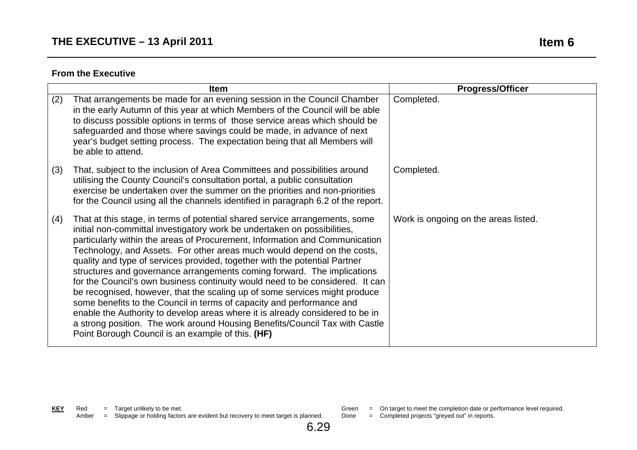|     | <b>Item</b>                                                                                                                                                                                                                                                                                                                                                                                                                                                                                                                                                                                                                                                                                                                                                                                                                                                                                                                             | <b>Progress/Officer</b>              |
|-----|-----------------------------------------------------------------------------------------------------------------------------------------------------------------------------------------------------------------------------------------------------------------------------------------------------------------------------------------------------------------------------------------------------------------------------------------------------------------------------------------------------------------------------------------------------------------------------------------------------------------------------------------------------------------------------------------------------------------------------------------------------------------------------------------------------------------------------------------------------------------------------------------------------------------------------------------|--------------------------------------|
| (2) | That arrangements be made for an evening session in the Council Chamber<br>in the early Autumn of this year at which Members of the Council will be able<br>to discuss possible options in terms of those service areas which should be<br>safeguarded and those where savings could be made, in advance of next<br>year's budget setting process. The expectation being that all Members will<br>be able to attend.                                                                                                                                                                                                                                                                                                                                                                                                                                                                                                                    | Completed.                           |
| (3) | That, subject to the inclusion of Area Committees and possibilities around<br>utilising the County Council's consultation portal, a public consultation<br>exercise be undertaken over the summer on the priorities and non-priorities<br>for the Council using all the channels identified in paragraph 6.2 of the report.                                                                                                                                                                                                                                                                                                                                                                                                                                                                                                                                                                                                             | Completed.                           |
| (4) | That at this stage, in terms of potential shared service arrangements, some<br>initial non-committal investigatory work be undertaken on possibilities,<br>particularly within the areas of Procurement, Information and Communication<br>Technology, and Assets. For other areas much would depend on the costs,<br>quality and type of services provided, together with the potential Partner<br>structures and governance arrangements coming forward. The implications<br>for the Council's own business continuity would need to be considered. It can<br>be recognised, however, that the scaling up of some services might produce<br>some benefits to the Council in terms of capacity and performance and<br>enable the Authority to develop areas where it is already considered to be in<br>a strong position. The work around Housing Benefits/Council Tax with Castle<br>Point Borough Council is an example of this. (HF) | Work is ongoing on the areas listed. |

6.29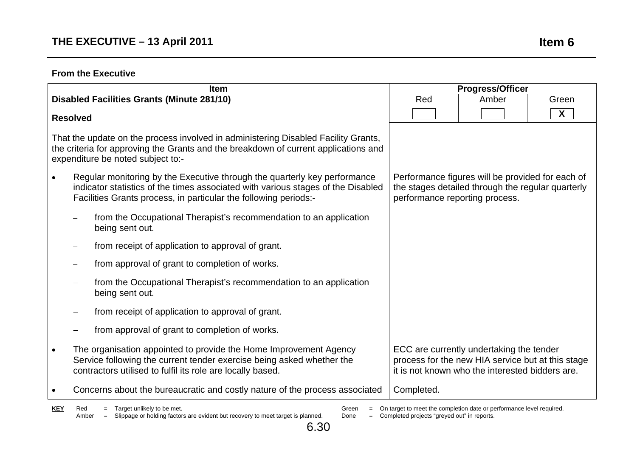|                                                                                                                                                                                                                |                 | <b>Item</b>                                                                                                                                                                                                                       |                                                                                                                                         | <b>Progress/Officer</b>                           |              |
|----------------------------------------------------------------------------------------------------------------------------------------------------------------------------------------------------------------|-----------------|-----------------------------------------------------------------------------------------------------------------------------------------------------------------------------------------------------------------------------------|-----------------------------------------------------------------------------------------------------------------------------------------|---------------------------------------------------|--------------|
|                                                                                                                                                                                                                |                 | <b>Disabled Facilities Grants (Minute 281/10)</b>                                                                                                                                                                                 | Red                                                                                                                                     | Amber                                             | Green        |
|                                                                                                                                                                                                                | <b>Resolved</b> |                                                                                                                                                                                                                                   |                                                                                                                                         |                                                   | $\mathsf{X}$ |
| That the update on the process involved in administering Disabled Facility Grants,<br>the criteria for approving the Grants and the breakdown of current applications and<br>expenditure be noted subject to:- |                 |                                                                                                                                                                                                                                   |                                                                                                                                         |                                                   |              |
|                                                                                                                                                                                                                |                 | Regular monitoring by the Executive through the quarterly key performance<br>indicator statistics of the times associated with various stages of the Disabled<br>Facilities Grants process, in particular the following periods:- | Performance figures will be provided for each of<br>the stages detailed through the regular quarterly<br>performance reporting process. |                                                   |              |
|                                                                                                                                                                                                                |                 | from the Occupational Therapist's recommendation to an application<br>being sent out.                                                                                                                                             |                                                                                                                                         |                                                   |              |
|                                                                                                                                                                                                                |                 | from receipt of application to approval of grant.                                                                                                                                                                                 |                                                                                                                                         |                                                   |              |
|                                                                                                                                                                                                                |                 | from approval of grant to completion of works.                                                                                                                                                                                    |                                                                                                                                         |                                                   |              |
|                                                                                                                                                                                                                |                 | from the Occupational Therapist's recommendation to an application<br>being sent out.                                                                                                                                             |                                                                                                                                         |                                                   |              |
|                                                                                                                                                                                                                |                 | from receipt of application to approval of grant.                                                                                                                                                                                 |                                                                                                                                         |                                                   |              |
|                                                                                                                                                                                                                |                 | from approval of grant to completion of works.                                                                                                                                                                                    |                                                                                                                                         |                                                   |              |
|                                                                                                                                                                                                                |                 | The organisation appointed to provide the Home Improvement Agency<br>Service following the current tender exercise being asked whether the<br>contractors utilised to fulfil its role are locally based.                          | ECC are currently undertaking the tender<br>it is not known who the interested bidders are.                                             | process for the new HIA service but at this stage |              |
|                                                                                                                                                                                                                |                 | Concerns about the bureaucratic and costly nature of the process associated                                                                                                                                                       | Completed.                                                                                                                              |                                                   |              |

**KEY** Red = Target unlikely to be met. Amber = Slippage or holding factors are evident but recovery to meet target is planned.

Green = On target to meet the completion date or performance level required.

Done = Completed projects "greyed out" in reports.

6.30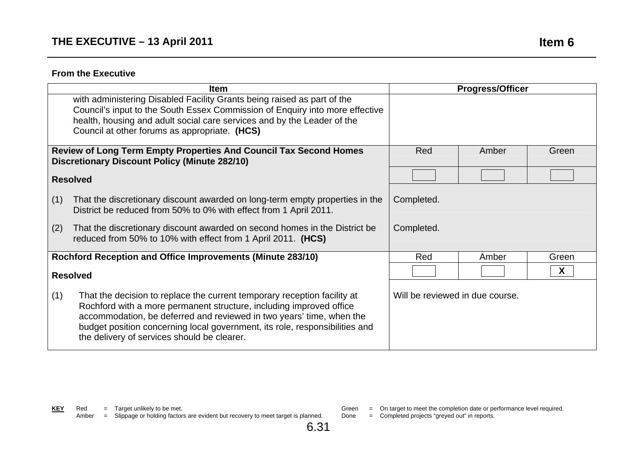| <b>Item</b>                                                                                                                                                                                                                                                                                                                                                  |                                 | <b>Progress/Officer</b> |       |
|--------------------------------------------------------------------------------------------------------------------------------------------------------------------------------------------------------------------------------------------------------------------------------------------------------------------------------------------------------------|---------------------------------|-------------------------|-------|
| with administering Disabled Facility Grants being raised as part of the<br>Council's input to the South Essex Commission of Enquiry into more effective<br>health, housing and adult social care services and by the Leader of the<br>Council at other forums as appropriate. (HCS)                                                                          |                                 |                         |       |
| Review of Long Term Empty Properties And Council Tax Second Homes<br><b>Discretionary Discount Policy (Minute 282/10)</b>                                                                                                                                                                                                                                    | Red                             | Amber                   | Green |
| <b>Resolved</b>                                                                                                                                                                                                                                                                                                                                              |                                 |                         |       |
| (1)<br>That the discretionary discount awarded on long-term empty properties in the<br>District be reduced from 50% to 0% with effect from 1 April 2011.                                                                                                                                                                                                     | Completed.                      |                         |       |
| That the discretionary discount awarded on second homes in the District be<br>(2)<br>reduced from 50% to 10% with effect from 1 April 2011. (HCS)                                                                                                                                                                                                            | Completed.                      |                         |       |
| Rochford Reception and Office Improvements (Minute 283/10)                                                                                                                                                                                                                                                                                                   | Red                             | Amber                   | Green |
| <b>Resolved</b>                                                                                                                                                                                                                                                                                                                                              |                                 |                         | X     |
| (1)<br>That the decision to replace the current temporary reception facility at<br>Rochford with a more permanent structure, including improved office<br>accommodation, be deferred and reviewed in two years' time, when the<br>budget position concerning local government, its role, responsibilities and<br>the delivery of services should be clearer. | Will be reviewed in due course. |                         |       |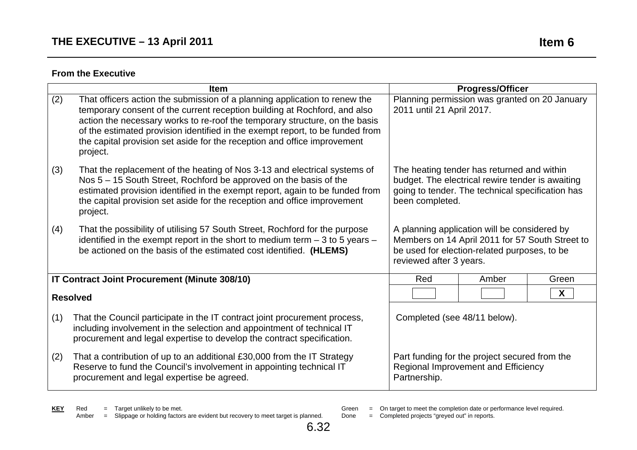|     | <b>Item</b>                                                                                                                                                                                                                                                                                                                                                                                                     |                                                                                                                                                                            | <b>Progress/Officer</b>                       |       |
|-----|-----------------------------------------------------------------------------------------------------------------------------------------------------------------------------------------------------------------------------------------------------------------------------------------------------------------------------------------------------------------------------------------------------------------|----------------------------------------------------------------------------------------------------------------------------------------------------------------------------|-----------------------------------------------|-------|
| (2) | That officers action the submission of a planning application to renew the<br>temporary consent of the current reception building at Rochford, and also<br>action the necessary works to re-roof the temporary structure, on the basis<br>of the estimated provision identified in the exempt report, to be funded from<br>the capital provision set aside for the reception and office improvement<br>project. | 2011 until 21 April 2017.                                                                                                                                                  | Planning permission was granted on 20 January |       |
| (3) | That the replacement of the heating of Nos 3-13 and electrical systems of<br>Nos 5 – 15 South Street, Rochford be approved on the basis of the<br>estimated provision identified in the exempt report, again to be funded from<br>the capital provision set aside for the reception and office improvement<br>project.                                                                                          | The heating tender has returned and within<br>budget. The electrical rewire tender is awaiting<br>going to tender. The technical specification has<br>been completed.      |                                               |       |
| (4) | That the possibility of utilising 57 South Street, Rochford for the purpose<br>identified in the exempt report in the short to medium term $-3$ to 5 years $-$<br>be actioned on the basis of the estimated cost identified. (HLEMS)                                                                                                                                                                            | A planning application will be considered by<br>Members on 14 April 2011 for 57 South Street to<br>be used for election-related purposes, to be<br>reviewed after 3 years. |                                               |       |
|     | IT Contract Joint Procurement (Minute 308/10)                                                                                                                                                                                                                                                                                                                                                                   | Red                                                                                                                                                                        | Amber                                         | Green |
|     | <b>Resolved</b>                                                                                                                                                                                                                                                                                                                                                                                                 |                                                                                                                                                                            |                                               | X     |
| (1) | That the Council participate in the IT contract joint procurement process,<br>including involvement in the selection and appointment of technical IT<br>procurement and legal expertise to develop the contract specification.                                                                                                                                                                                  | Completed (see 48/11 below).                                                                                                                                               |                                               |       |
| (2) | That a contribution of up to an additional £30,000 from the IT Strategy<br>Reserve to fund the Council's involvement in appointing technical IT<br>procurement and legal expertise be agreed.                                                                                                                                                                                                                   | Part funding for the project secured from the<br>Regional Improvement and Efficiency<br>Partnership.                                                                       |                                               |       |

Green = On target to meet the completion date or performance level required.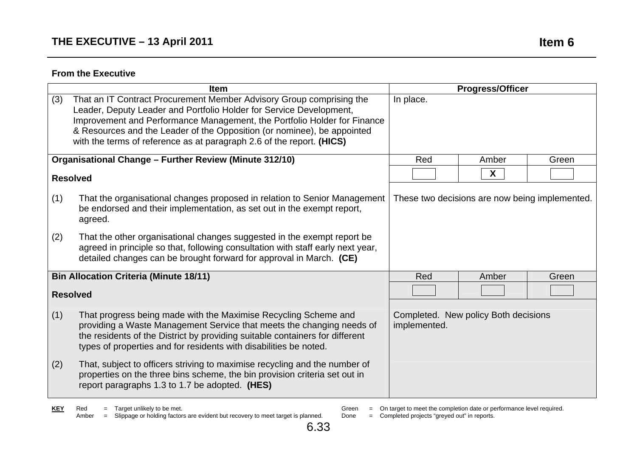|     | Item                                                                                                                                                                                                                                                                                                                                                                        |              | <b>Progress/Officer</b>                        |       |
|-----|-----------------------------------------------------------------------------------------------------------------------------------------------------------------------------------------------------------------------------------------------------------------------------------------------------------------------------------------------------------------------------|--------------|------------------------------------------------|-------|
| (3) | That an IT Contract Procurement Member Advisory Group comprising the<br>Leader, Deputy Leader and Portfolio Holder for Service Development,<br>Improvement and Performance Management, the Portfolio Holder for Finance<br>& Resources and the Leader of the Opposition (or nominee), be appointed<br>with the terms of reference as at paragraph 2.6 of the report. (HICS) | In place.    |                                                |       |
|     | Organisational Change - Further Review (Minute 312/10)                                                                                                                                                                                                                                                                                                                      | Red          | Amber                                          | Green |
|     | <b>Resolved</b>                                                                                                                                                                                                                                                                                                                                                             |              | $\mathsf{X}$                                   |       |
| (1) | That the organisational changes proposed in relation to Senior Management<br>be endorsed and their implementation, as set out in the exempt report,<br>agreed.                                                                                                                                                                                                              |              | These two decisions are now being implemented. |       |
| (2) | That the other organisational changes suggested in the exempt report be<br>agreed in principle so that, following consultation with staff early next year,<br>detailed changes can be brought forward for approval in March. (CE)                                                                                                                                           |              |                                                |       |
|     | <b>Bin Allocation Criteria (Minute 18/11)</b>                                                                                                                                                                                                                                                                                                                               | Red          | Amber                                          | Green |
|     | <b>Resolved</b>                                                                                                                                                                                                                                                                                                                                                             |              |                                                |       |
| (1) | That progress being made with the Maximise Recycling Scheme and<br>providing a Waste Management Service that meets the changing needs of<br>the residents of the District by providing suitable containers for different<br>types of properties and for residents with disabilities be noted.                                                                               | implemented. | Completed. New policy Both decisions           |       |
| (2) | That, subject to officers striving to maximise recycling and the number of<br>properties on the three bins scheme, the bin provision criteria set out in<br>report paragraphs 1.3 to 1.7 be adopted. (HES)                                                                                                                                                                  |              |                                                |       |

**KEY** Red = Target unlikely to be met. Amber = Slippage or holding factors are evident but recovery to meet target is planned.

- Green = On target to meet the completion date or performance level required.
- Done = Completed projects "greyed out" in reports.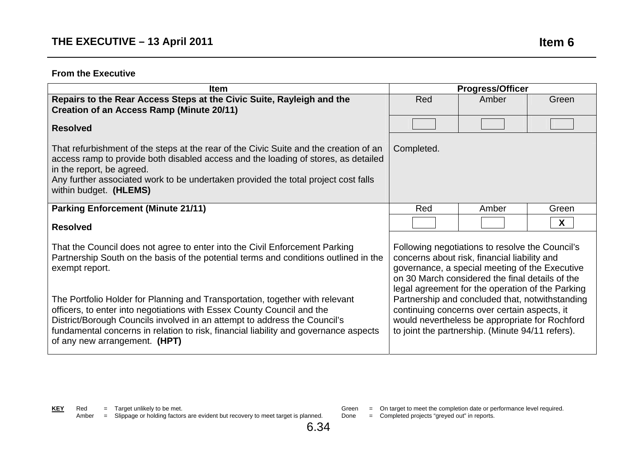| <b>Item</b>                                                                                                                                                                                                                                                                                                                                                                                                                                                                                                                                           |                                                                                                                                                                                                                                                                                                                                                                                                                                                                   | <b>Progress/Officer</b> |       |
|-------------------------------------------------------------------------------------------------------------------------------------------------------------------------------------------------------------------------------------------------------------------------------------------------------------------------------------------------------------------------------------------------------------------------------------------------------------------------------------------------------------------------------------------------------|-------------------------------------------------------------------------------------------------------------------------------------------------------------------------------------------------------------------------------------------------------------------------------------------------------------------------------------------------------------------------------------------------------------------------------------------------------------------|-------------------------|-------|
| Repairs to the Rear Access Steps at the Civic Suite, Rayleigh and the<br><b>Creation of an Access Ramp (Minute 20/11)</b>                                                                                                                                                                                                                                                                                                                                                                                                                             | Red                                                                                                                                                                                                                                                                                                                                                                                                                                                               | Amber                   | Green |
| <b>Resolved</b>                                                                                                                                                                                                                                                                                                                                                                                                                                                                                                                                       |                                                                                                                                                                                                                                                                                                                                                                                                                                                                   |                         |       |
| That refurbishment of the steps at the rear of the Civic Suite and the creation of an<br>access ramp to provide both disabled access and the loading of stores, as detailed<br>in the report, be agreed.<br>Any further associated work to be undertaken provided the total project cost falls<br>within budget. (HLEMS)                                                                                                                                                                                                                              | Completed.                                                                                                                                                                                                                                                                                                                                                                                                                                                        |                         |       |
| <b>Parking Enforcement (Minute 21/11)</b>                                                                                                                                                                                                                                                                                                                                                                                                                                                                                                             | Red                                                                                                                                                                                                                                                                                                                                                                                                                                                               | Amber                   | Green |
| <b>Resolved</b>                                                                                                                                                                                                                                                                                                                                                                                                                                                                                                                                       |                                                                                                                                                                                                                                                                                                                                                                                                                                                                   |                         | X     |
| That the Council does not agree to enter into the Civil Enforcement Parking<br>Partnership South on the basis of the potential terms and conditions outlined in the<br>exempt report.<br>The Portfolio Holder for Planning and Transportation, together with relevant<br>officers, to enter into negotiations with Essex County Council and the<br>District/Borough Councils involved in an attempt to address the Council's<br>fundamental concerns in relation to risk, financial liability and governance aspects<br>of any new arrangement. (HPT) | Following negotiations to resolve the Council's<br>concerns about risk, financial liability and<br>governance, a special meeting of the Executive<br>on 30 March considered the final details of the<br>legal agreement for the operation of the Parking<br>Partnership and concluded that, notwithstanding<br>continuing concerns over certain aspects, it<br>would nevertheless be appropriate for Rochford<br>to joint the partnership. (Minute 94/11 refers). |                         |       |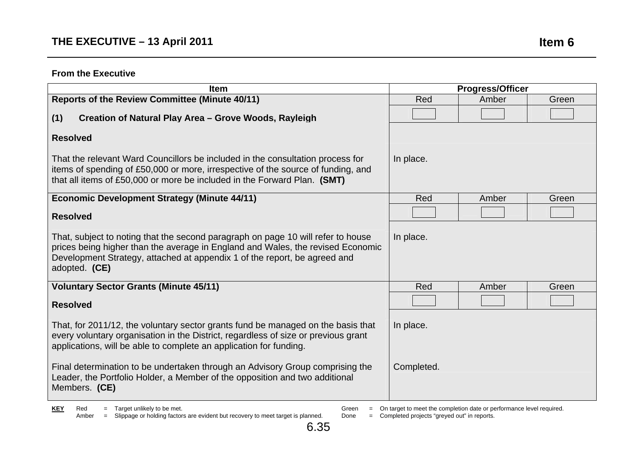| <b>Item</b>                                                                                                                                                                                                                                                       |            | <b>Progress/Officer</b> |       |
|-------------------------------------------------------------------------------------------------------------------------------------------------------------------------------------------------------------------------------------------------------------------|------------|-------------------------|-------|
| <b>Reports of the Review Committee (Minute 40/11)</b>                                                                                                                                                                                                             | Red        | Amber                   | Green |
| Creation of Natural Play Area - Grove Woods, Rayleigh<br>(1)                                                                                                                                                                                                      |            |                         |       |
| <b>Resolved</b>                                                                                                                                                                                                                                                   |            |                         |       |
| That the relevant Ward Councillors be included in the consultation process for<br>items of spending of £50,000 or more, irrespective of the source of funding, and<br>that all items of £50,000 or more be included in the Forward Plan. (SMT)                    | In place.  |                         |       |
| <b>Economic Development Strategy (Minute 44/11)</b>                                                                                                                                                                                                               | Red        | Amber                   | Green |
| <b>Resolved</b>                                                                                                                                                                                                                                                   |            |                         |       |
| That, subject to noting that the second paragraph on page 10 will refer to house<br>prices being higher than the average in England and Wales, the revised Economic<br>Development Strategy, attached at appendix 1 of the report, be agreed and<br>adopted. (CE) | In place.  |                         |       |
| <b>Voluntary Sector Grants (Minute 45/11)</b>                                                                                                                                                                                                                     | Red        | Amber                   | Green |
| <b>Resolved</b>                                                                                                                                                                                                                                                   |            |                         |       |
| That, for 2011/12, the voluntary sector grants fund be managed on the basis that<br>every voluntary organisation in the District, regardless of size or previous grant<br>applications, will be able to complete an application for funding.                      | In place.  |                         |       |
| Final determination to be undertaken through an Advisory Group comprising the<br>Leader, the Portfolio Holder, a Member of the opposition and two additional<br>Members. (CE)                                                                                     | Completed. |                         |       |

6.35

Green = On target to meet the completion date or performance level required.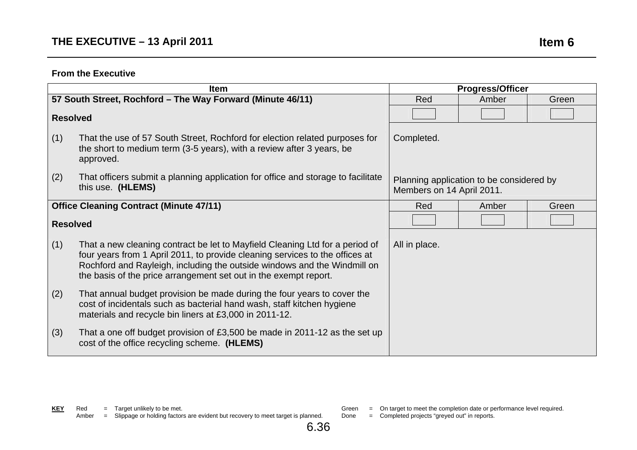|                                                | <b>Item</b>                                                                                                                                                                                                                                                                                                  |                                                                       | <b>Progress/Officer</b> |       |
|------------------------------------------------|--------------------------------------------------------------------------------------------------------------------------------------------------------------------------------------------------------------------------------------------------------------------------------------------------------------|-----------------------------------------------------------------------|-------------------------|-------|
|                                                | 57 South Street, Rochford - The Way Forward (Minute 46/11)                                                                                                                                                                                                                                                   | Red                                                                   | Amber                   | Green |
| <b>Resolved</b>                                |                                                                                                                                                                                                                                                                                                              |                                                                       |                         |       |
| (1)                                            | That the use of 57 South Street, Rochford for election related purposes for<br>the short to medium term (3-5 years), with a review after 3 years, be<br>approved.                                                                                                                                            | Completed.                                                            |                         |       |
| (2)                                            | That officers submit a planning application for office and storage to facilitate<br>this use. (HLEMS)                                                                                                                                                                                                        | Planning application to be considered by<br>Members on 14 April 2011. |                         |       |
| <b>Office Cleaning Contract (Minute 47/11)</b> |                                                                                                                                                                                                                                                                                                              | Red                                                                   | Amber                   | Green |
| <b>Resolved</b>                                |                                                                                                                                                                                                                                                                                                              |                                                                       |                         |       |
| (1)                                            | That a new cleaning contract be let to Mayfield Cleaning Ltd for a period of<br>four years from 1 April 2011, to provide cleaning services to the offices at<br>Rochford and Rayleigh, including the outside windows and the Windmill on<br>the basis of the price arrangement set out in the exempt report. | All in place.                                                         |                         |       |
| (2)                                            | That annual budget provision be made during the four years to cover the<br>cost of incidentals such as bacterial hand wash, staff kitchen hygiene<br>materials and recycle bin liners at £3,000 in 2011-12.                                                                                                  |                                                                       |                         |       |
| (3)                                            | That a one off budget provision of £3,500 be made in 2011-12 as the set up<br>cost of the office recycling scheme. (HLEMS)                                                                                                                                                                                   |                                                                       |                         |       |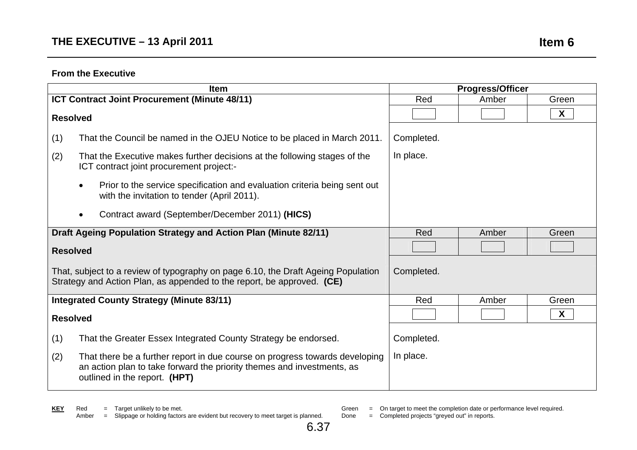|                                                                 | Item                                                                                                                                                                                   |            | <b>Progress/Officer</b> |                  |
|-----------------------------------------------------------------|----------------------------------------------------------------------------------------------------------------------------------------------------------------------------------------|------------|-------------------------|------------------|
|                                                                 | ICT Contract Joint Procurement (Minute 48/11)                                                                                                                                          | Red        | Amber                   | Green            |
| <b>Resolved</b>                                                 |                                                                                                                                                                                        |            |                         | $\boldsymbol{X}$ |
| (1)                                                             | That the Council be named in the OJEU Notice to be placed in March 2011.                                                                                                               | Completed. |                         |                  |
| (2)                                                             | That the Executive makes further decisions at the following stages of the<br>ICT contract joint procurement project:-                                                                  | In place.  |                         |                  |
|                                                                 | Prior to the service specification and evaluation criteria being sent out<br>$\bullet$<br>with the invitation to tender (April 2011).                                                  |            |                         |                  |
|                                                                 | Contract award (September/December 2011) (HICS)<br>$\bullet$                                                                                                                           |            |                         |                  |
| Draft Ageing Population Strategy and Action Plan (Minute 82/11) |                                                                                                                                                                                        | Red        | Amber                   | Green            |
| <b>Resolved</b>                                                 |                                                                                                                                                                                        |            |                         |                  |
|                                                                 | That, subject to a review of typography on page 6.10, the Draft Ageing Population<br>Strategy and Action Plan, as appended to the report, be approved. (CE)                            | Completed. |                         |                  |
|                                                                 | <b>Integrated County Strategy (Minute 83/11)</b>                                                                                                                                       | Red        | Amber                   | Green            |
| <b>Resolved</b>                                                 |                                                                                                                                                                                        |            |                         | $\boldsymbol{X}$ |
| (1)                                                             | That the Greater Essex Integrated County Strategy be endorsed.                                                                                                                         | Completed. |                         |                  |
| (2)                                                             | That there be a further report in due course on progress towards developing<br>an action plan to take forward the priority themes and investments, as<br>outlined in the report. (HPT) | In place.  |                         |                  |

Green = On target to meet the completion date or performance level required.

Done = Completed projects "greyed out" in reports.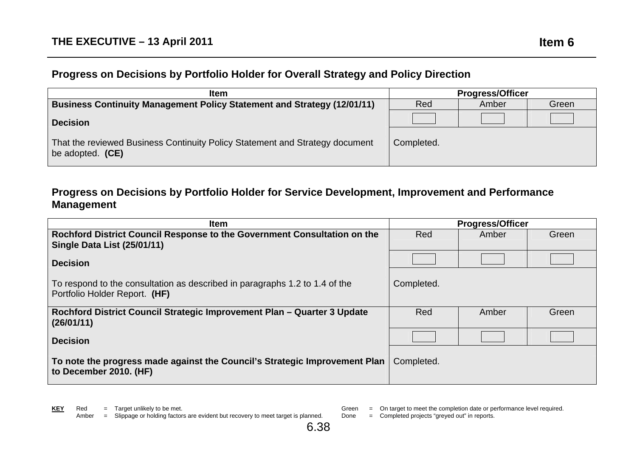#### **Progress on Decisions by Portfolio Holder for Overall Strategy and Policy Direction**

| <b>Item</b>                                                                                      | <b>Progress/Officer</b> |       |       |
|--------------------------------------------------------------------------------------------------|-------------------------|-------|-------|
| <b>Business Continuity Management Policy Statement and Strategy (12/01/11)</b>                   | Red                     | Amber | Green |
| <b>Decision</b>                                                                                  |                         |       |       |
| That the reviewed Business Continuity Policy Statement and Strategy document<br>be adopted. (CE) | Completed.              |       |       |

#### **Progress on Decisions by Portfolio Holder for Service Development, Improvement and Performance Management**

| <b>Item</b>                                                                                                  | <b>Progress/Officer</b> |       |       |
|--------------------------------------------------------------------------------------------------------------|-------------------------|-------|-------|
| Rochford District Council Response to the Government Consultation on the                                     | Red                     | Amber | Green |
| <b>Single Data List (25/01/11)</b>                                                                           |                         |       |       |
| <b>Decision</b>                                                                                              |                         |       |       |
| To respond to the consultation as described in paragraphs 1.2 to 1.4 of the<br>Portfolio Holder Report. (HF) | Completed.              |       |       |
| Rochford District Council Strategic Improvement Plan - Quarter 3 Update<br>(26/01/11)                        | Red                     | Amber | Green |
| <b>Decision</b>                                                                                              |                         |       |       |
| To note the progress made against the Council's Strategic Improvement Plan<br>to December 2010. (HF)         | Completed.              |       |       |

Green = On target to meet the completion date or performance level required.<br>Done = Completed projects "greved out" in reports.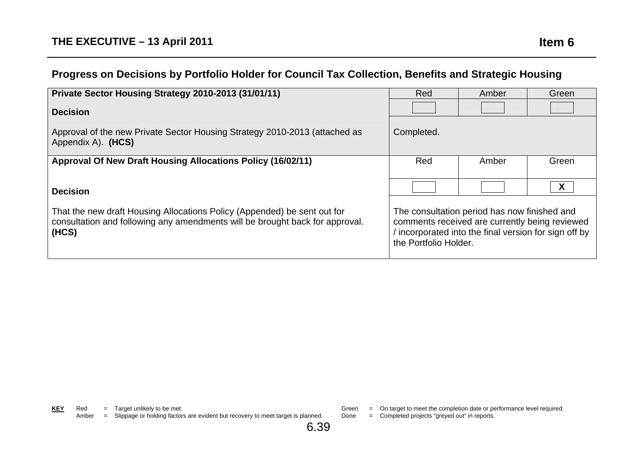# **Progress on Decisions by Portfolio Holder for Council Tax Collection, Benefits and Strategic Housing**

| Private Sector Housing Strategy 2010-2013 (31/01/11)                                                                                                              | Red                                                                                                                                                                            | Amber | Green |
|-------------------------------------------------------------------------------------------------------------------------------------------------------------------|--------------------------------------------------------------------------------------------------------------------------------------------------------------------------------|-------|-------|
| <b>Decision</b>                                                                                                                                                   |                                                                                                                                                                                |       |       |
| Approval of the new Private Sector Housing Strategy 2010-2013 (attached as<br>Appendix A). (HCS)                                                                  | Completed.                                                                                                                                                                     |       |       |
| Approval Of New Draft Housing Allocations Policy (16/02/11)                                                                                                       | Red                                                                                                                                                                            | Amber | Green |
|                                                                                                                                                                   |                                                                                                                                                                                |       |       |
| <b>Decision</b>                                                                                                                                                   |                                                                                                                                                                                |       | X     |
| That the new draft Housing Allocations Policy (Appended) be sent out for<br>consultation and following any amendments will be brought back for approval.<br>(HCS) | The consultation period has now finished and<br>comments received are currently being reviewed<br>incorporated into the final version for sign off by<br>the Portfolio Holder. |       |       |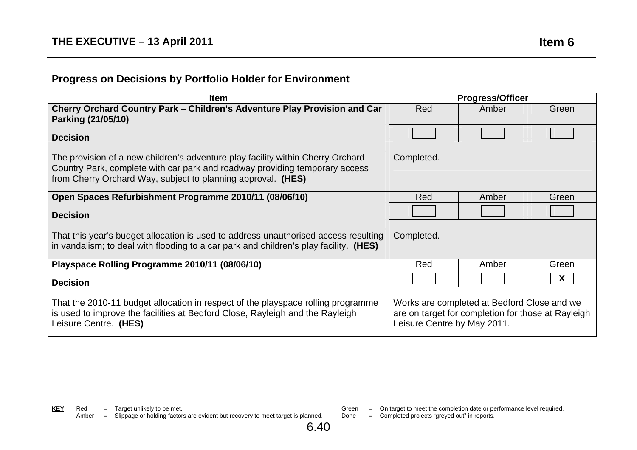# **Progress on Decisions by Portfolio Holder for Environment**

| <b>Item</b>                                                                                                                                                                                                                    | <b>Progress/Officer</b>                                                                                                          |       |              |
|--------------------------------------------------------------------------------------------------------------------------------------------------------------------------------------------------------------------------------|----------------------------------------------------------------------------------------------------------------------------------|-------|--------------|
| Cherry Orchard Country Park – Children's Adventure Play Provision and Car<br>Parking (21/05/10)                                                                                                                                | Red                                                                                                                              | Amber | Green        |
| <b>Decision</b>                                                                                                                                                                                                                |                                                                                                                                  |       |              |
| The provision of a new children's adventure play facility within Cherry Orchard<br>Country Park, complete with car park and roadway providing temporary access<br>from Cherry Orchard Way, subject to planning approval. (HES) | Completed.                                                                                                                       |       |              |
| Open Spaces Refurbishment Programme 2010/11 (08/06/10)                                                                                                                                                                         | Red                                                                                                                              | Amber | Green        |
| <b>Decision</b>                                                                                                                                                                                                                |                                                                                                                                  |       |              |
| That this year's budget allocation is used to address unauthorised access resulting<br>in vandalism; to deal with flooding to a car park and children's play facility. (HES)                                                   | Completed.                                                                                                                       |       |              |
| Playspace Rolling Programme 2010/11 (08/06/10)                                                                                                                                                                                 | Red                                                                                                                              | Amber | Green        |
| <b>Decision</b>                                                                                                                                                                                                                |                                                                                                                                  |       | $\mathsf{X}$ |
| That the 2010-11 budget allocation in respect of the playspace rolling programme<br>is used to improve the facilities at Bedford Close, Rayleigh and the Rayleigh<br>Leisure Centre. (HES)                                     | Works are completed at Bedford Close and we<br>are on target for completion for those at Rayleigh<br>Leisure Centre by May 2011. |       |              |

- - Green = On target to meet the completion date or performance level required.
	- Done = Completed projects "greyed out" in reports.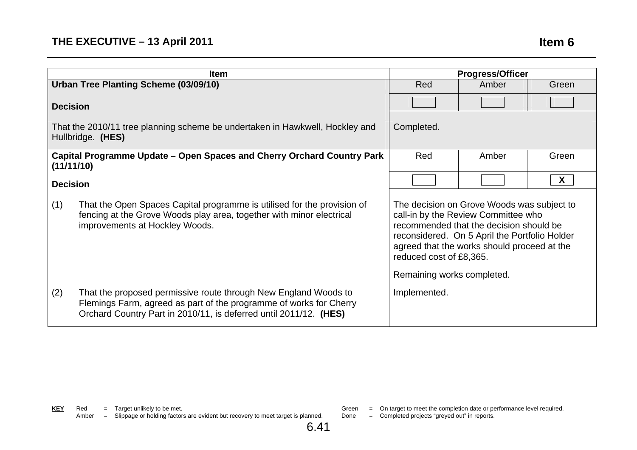|                 | <b>Item</b>                                                                                                                                                                                                | <b>Progress/Officer</b>                                                                                                                                                                                                                                                               |       |       |
|-----------------|------------------------------------------------------------------------------------------------------------------------------------------------------------------------------------------------------------|---------------------------------------------------------------------------------------------------------------------------------------------------------------------------------------------------------------------------------------------------------------------------------------|-------|-------|
|                 | Urban Tree Planting Scheme (03/09/10)                                                                                                                                                                      | Red<br>Green<br>Amber                                                                                                                                                                                                                                                                 |       |       |
| <b>Decision</b> |                                                                                                                                                                                                            |                                                                                                                                                                                                                                                                                       |       |       |
|                 | That the 2010/11 tree planning scheme be undertaken in Hawkwell, Hockley and<br>Hullbridge. (HES)                                                                                                          | Completed.                                                                                                                                                                                                                                                                            |       |       |
| (11/11/10)      | Capital Programme Update – Open Spaces and Cherry Orchard Country Park                                                                                                                                     | Red                                                                                                                                                                                                                                                                                   | Amber | Green |
| <b>Decision</b> |                                                                                                                                                                                                            |                                                                                                                                                                                                                                                                                       |       | X     |
| (1)             | That the Open Spaces Capital programme is utilised for the provision of<br>fencing at the Grove Woods play area, together with minor electrical<br>improvements at Hockley Woods.                          | The decision on Grove Woods was subject to<br>call-in by the Review Committee who<br>recommended that the decision should be<br>reconsidered. On 5 April the Portfolio Holder<br>agreed that the works should proceed at the<br>reduced cost of £8,365.<br>Remaining works completed. |       |       |
| (2)             | That the proposed permissive route through New England Woods to<br>Flemings Farm, agreed as part of the programme of works for Cherry<br>Orchard Country Part in 2010/11, is deferred until 2011/12. (HES) | Implemented.                                                                                                                                                                                                                                                                          |       |       |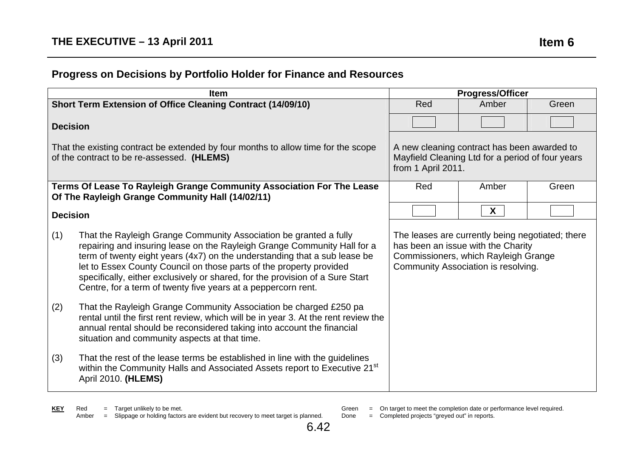# **Progress on Decisions by Portfolio Holder for Finance and Resources**

|                 | <b>Item</b>                                                                                                                                                                                                                                                                                                                                                                                                                                         | <b>Progress/Officer</b>                                                                                                                                               |              |       |
|-----------------|-----------------------------------------------------------------------------------------------------------------------------------------------------------------------------------------------------------------------------------------------------------------------------------------------------------------------------------------------------------------------------------------------------------------------------------------------------|-----------------------------------------------------------------------------------------------------------------------------------------------------------------------|--------------|-------|
|                 | Short Term Extension of Office Cleaning Contract (14/09/10)                                                                                                                                                                                                                                                                                                                                                                                         | Red<br>Amber<br>Green                                                                                                                                                 |              |       |
| <b>Decision</b> |                                                                                                                                                                                                                                                                                                                                                                                                                                                     |                                                                                                                                                                       |              |       |
|                 | That the existing contract be extended by four months to allow time for the scope<br>of the contract to be re-assessed. (HLEMS)                                                                                                                                                                                                                                                                                                                     | A new cleaning contract has been awarded to<br>Mayfield Cleaning Ltd for a period of four years<br>from 1 April 2011.                                                 |              |       |
|                 | Terms Of Lease To Rayleigh Grange Community Association For The Lease<br>Of The Rayleigh Grange Community Hall (14/02/11)                                                                                                                                                                                                                                                                                                                           | Red                                                                                                                                                                   | Amber        | Green |
| <b>Decision</b> |                                                                                                                                                                                                                                                                                                                                                                                                                                                     |                                                                                                                                                                       | $\mathsf{X}$ |       |
| (1)             | That the Rayleigh Grange Community Association be granted a fully<br>repairing and insuring lease on the Rayleigh Grange Community Hall for a<br>term of twenty eight years (4x7) on the understanding that a sub lease be<br>let to Essex County Council on those parts of the property provided<br>specifically, either exclusively or shared, for the provision of a Sure Start<br>Centre, for a term of twenty five years at a peppercorn rent. | The leases are currently being negotiated; there<br>has been an issue with the Charity<br>Commissioners, which Rayleigh Grange<br>Community Association is resolving. |              |       |
| (2)             | That the Rayleigh Grange Community Association be charged £250 pa<br>rental until the first rent review, which will be in year 3. At the rent review the<br>annual rental should be reconsidered taking into account the financial<br>situation and community aspects at that time.                                                                                                                                                                 |                                                                                                                                                                       |              |       |
| (3)             | That the rest of the lease terms be established in line with the guidelines<br>within the Community Halls and Associated Assets report to Executive 21 <sup>st</sup><br>April 2010. (HLEMS)                                                                                                                                                                                                                                                         |                                                                                                                                                                       |              |       |

Green = On target to meet the completion date or performance level required.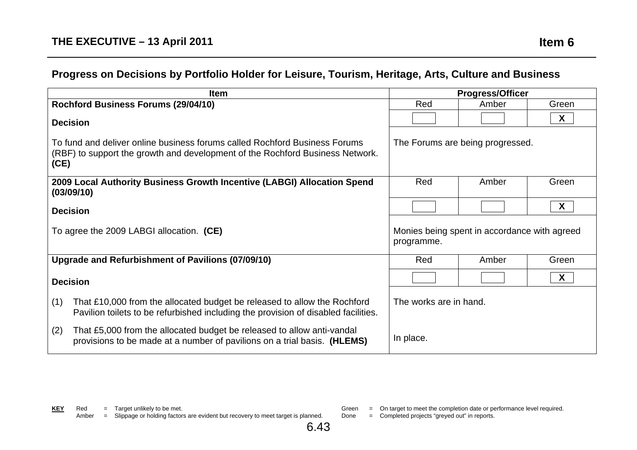# **Progress on Decisions by Portfolio Holder for Leisure, Tourism, Heritage, Arts, Culture and Business**

| Item                                                                                                                                                                  | <b>Progress/Officer</b>                                    |       |              |
|-----------------------------------------------------------------------------------------------------------------------------------------------------------------------|------------------------------------------------------------|-------|--------------|
| Rochford Business Forums (29/04/10)                                                                                                                                   | Red<br>Green<br>Amber                                      |       |              |
| <b>Decision</b>                                                                                                                                                       |                                                            |       | $\mathsf{X}$ |
| To fund and deliver online business forums called Rochford Business Forums<br>(RBF) to support the growth and development of the Rochford Business Network.<br>(CE)   | The Forums are being progressed.                           |       |              |
| 2009 Local Authority Business Growth Incentive (LABGI) Allocation Spend<br>(03/09/10)                                                                                 | Red<br>Amber<br>Green                                      |       |              |
| <b>Decision</b>                                                                                                                                                       | $\bm{X}$                                                   |       |              |
| To agree the 2009 LABGI allocation. (CE)                                                                                                                              | Monies being spent in accordance with agreed<br>programme. |       |              |
| Upgrade and Refurbishment of Pavilions (07/09/10)                                                                                                                     | Red                                                        | Amber | Green        |
| <b>Decision</b>                                                                                                                                                       |                                                            |       | $\mathsf{X}$ |
| (1)<br>That £10,000 from the allocated budget be released to allow the Rochford<br>Pavilion toilets to be refurbished including the provision of disabled facilities. | The works are in hand.                                     |       |              |
| (2)<br>That £5,000 from the allocated budget be released to allow anti-vandal<br>provisions to be made at a number of pavilions on a trial basis. (HLEMS)             | In place.                                                  |       |              |

EXAMPLE = Completed projects "greyed out" in reports.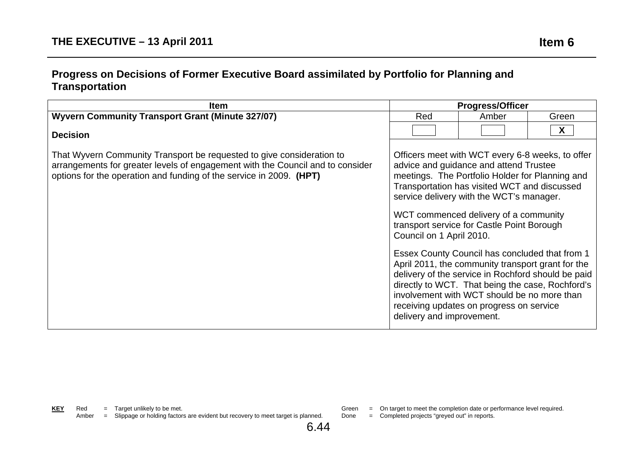#### **Progress on Decisions of Former Executive Board assimilated by Portfolio for Planning and Transportation**

| <b>Item</b>                                                                                                                                                                                                                    | <b>Progress/Officer</b>                               |                                                                                                                                                                                                                                                                                                                                                                                                                                                                                                                                                                                                                                              |       |
|--------------------------------------------------------------------------------------------------------------------------------------------------------------------------------------------------------------------------------|-------------------------------------------------------|----------------------------------------------------------------------------------------------------------------------------------------------------------------------------------------------------------------------------------------------------------------------------------------------------------------------------------------------------------------------------------------------------------------------------------------------------------------------------------------------------------------------------------------------------------------------------------------------------------------------------------------------|-------|
| <b>Wyvern Community Transport Grant (Minute 327/07)</b>                                                                                                                                                                        | Red                                                   | Amber                                                                                                                                                                                                                                                                                                                                                                                                                                                                                                                                                                                                                                        | Green |
| <b>Decision</b>                                                                                                                                                                                                                |                                                       |                                                                                                                                                                                                                                                                                                                                                                                                                                                                                                                                                                                                                                              | X     |
| That Wyvern Community Transport be requested to give consideration to<br>arrangements for greater levels of engagement with the Council and to consider<br>options for the operation and funding of the service in 2009. (HPT) | Council on 1 April 2010.<br>delivery and improvement. | Officers meet with WCT every 6-8 weeks, to offer<br>advice and guidance and attend Trustee<br>meetings. The Portfolio Holder for Planning and<br>Transportation has visited WCT and discussed<br>service delivery with the WCT's manager.<br>WCT commenced delivery of a community<br>transport service for Castle Point Borough<br>Essex County Council has concluded that from 1<br>April 2011, the community transport grant for the<br>delivery of the service in Rochford should be paid<br>directly to WCT. That being the case, Rochford's<br>involvement with WCT should be no more than<br>receiving updates on progress on service |       |

EXAMPLE FOR THE COMPLETED FOR THE COMPLETED TO COMPLETE COMPLETED TO COMPLETE COMPLETED TO CONTROL TO CONTROL TO CONTROL TO CONTROL TO CONTROL TO CONTROL TO CONTROL TO CONTROL TO CONTROL TO CONTROL TO CONTROL TO CONTROL TO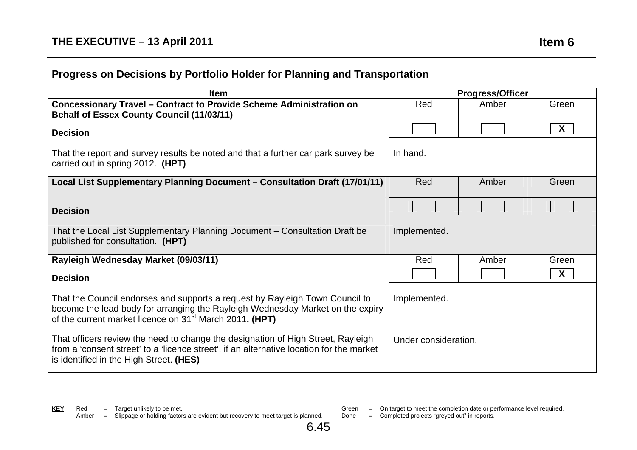# **Progress on Decisions by Portfolio Holder for Planning and Transportation**

| Item                                                                                                                                                                                                                                  | <b>Progress/Officer</b> |       |                           |
|---------------------------------------------------------------------------------------------------------------------------------------------------------------------------------------------------------------------------------------|-------------------------|-------|---------------------------|
| <b>Concessionary Travel - Contract to Provide Scheme Administration on</b><br><b>Behalf of Essex County Council (11/03/11)</b>                                                                                                        | Red                     | Amber | Green                     |
| <b>Decision</b>                                                                                                                                                                                                                       |                         |       | $\boldsymbol{X}$          |
| That the report and survey results be noted and that a further car park survey be<br>carried out in spring 2012. (HPT)                                                                                                                | In hand.                |       |                           |
| Local List Supplementary Planning Document - Consultation Draft (17/01/11)                                                                                                                                                            | Red                     | Amber | Green                     |
| <b>Decision</b>                                                                                                                                                                                                                       |                         |       |                           |
| That the Local List Supplementary Planning Document – Consultation Draft be<br>published for consultation. (HPT)                                                                                                                      | Implemented.            |       |                           |
| Rayleigh Wednesday Market (09/03/11)                                                                                                                                                                                                  | Red                     | Amber | Green                     |
| <b>Decision</b>                                                                                                                                                                                                                       |                         |       | $\boldsymbol{\mathsf{X}}$ |
| That the Council endorses and supports a request by Rayleigh Town Council to<br>become the lead body for arranging the Rayleigh Wednesday Market on the expiry<br>of the current market licence on 31 <sup>st</sup> March 2011. (HPT) | Implemented.            |       |                           |
| That officers review the need to change the designation of High Street, Rayleigh<br>from a 'consent street' to a 'licence street', if an alternative location for the market<br>is identified in the High Street. (HES)               | Under consideration.    |       |                           |

6.45

- Green = On target to meet the completion date or performance level required.
- Done = Completed projects "greyed out" in reports.